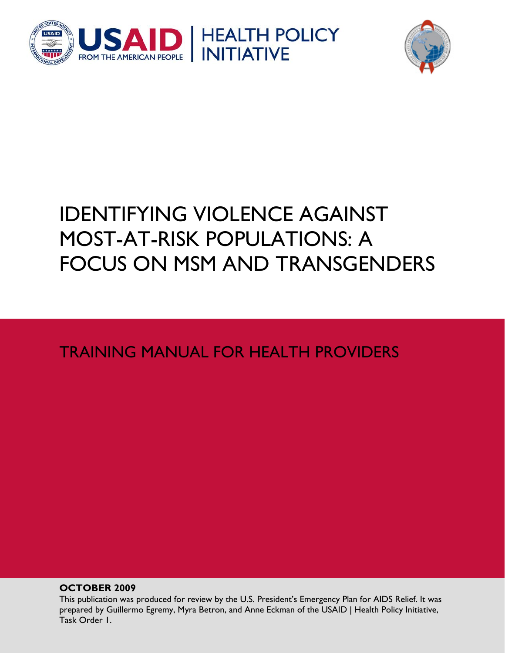



# IDENTIFYING VIOLENCE AGAINST MOST-AT-RISK POPULATIONS: A FOCUS ON MSM AND TRANSGENDERS

TRAINING MANUAL FOR HEALTH PROVIDERS

**OCTOBER 2009** 

This publication was produced for review by the U.S. President's Emergency Plan for AIDS Relief. It was prepared by Guillermo Egremy, Myra Betron, and Anne Eckman of the USAID | Health Policy Initiative, Task Order 1.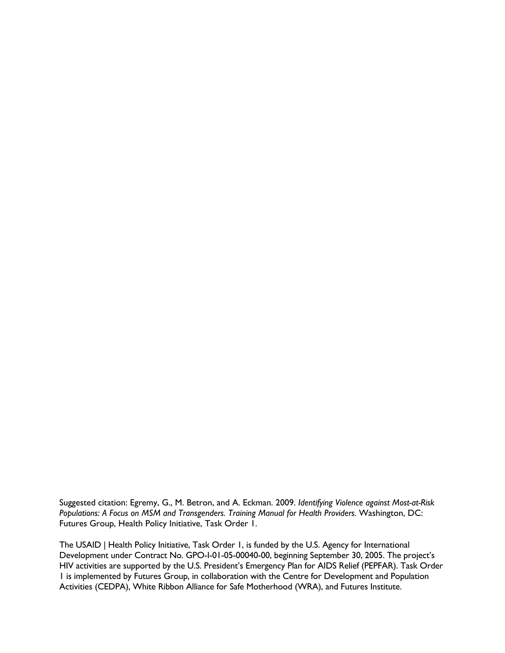Suggested citation: Egremy, G., M. Betron, and A. Eckman. 2009. *Identifying Violence against Most-at-Risk*  Populations: A Focus on MSM and Transgenders. Training Manual for Health Providers. Washington, DC: Futures Group, Health Policy Initiative, Task Order 1.

The USAID | Health Policy Initiative, Task Order 1, is funded by the U.S. Agency for International Development under Contract No. GPO-I-01-05-00040-00, beginning September 30, 2005. The project's HIV activities are supported by the U.S. President's Emergency Plan for AIDS Relief (PEPFAR). Task Order 1 is implemented by Futures Group, in collaboration with the Centre for Development and Population Activities (CEDPA), White Ribbon Alliance for Safe Motherhood (WRA), and Futures Institute.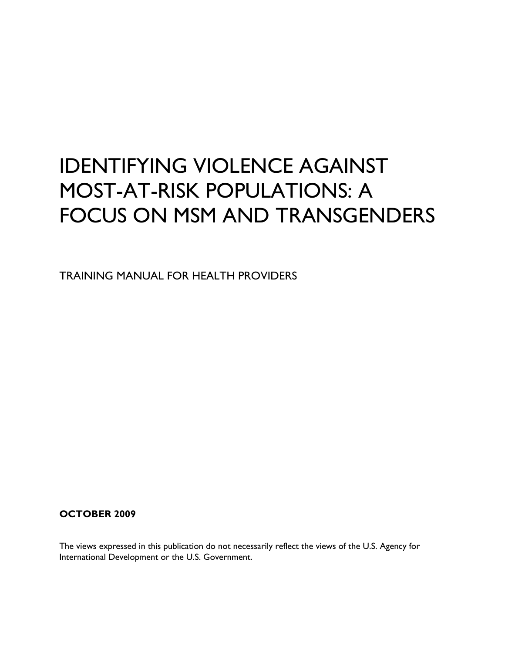# IDENTIFYING VIOLENCE AGAINST MOST-AT-RISK POPULATIONS: A FOCUS ON MSM AND TRANSGENDERS

TRAINING MANUAL FOR HEALTH PROVIDERS

### **OCTOBER 2009**

The views expressed in this publication do not necessarily reflect the views of the U.S. Agency for International Development or the U.S. Government.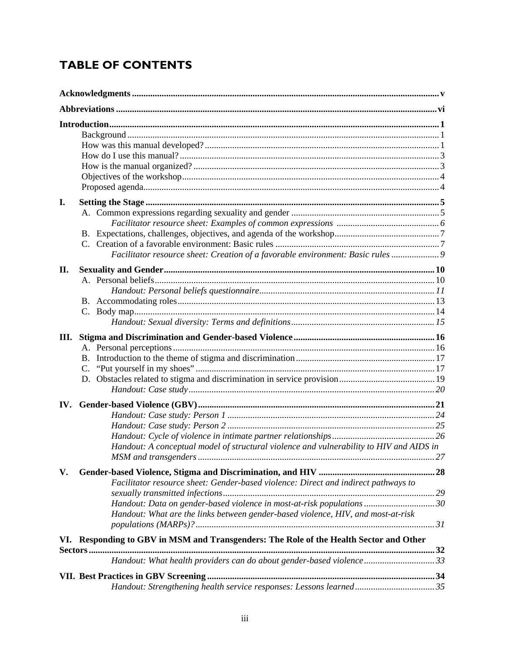# **TABLE OF CONTENTS**

| I.  | Facilitator resource sheet: Creation of a favorable environment: Basic rules  9                                                                                                                                                                  |    |  |  |
|-----|--------------------------------------------------------------------------------------------------------------------------------------------------------------------------------------------------------------------------------------------------|----|--|--|
| II. |                                                                                                                                                                                                                                                  |    |  |  |
|     | <b>B.</b>                                                                                                                                                                                                                                        |    |  |  |
|     | Handout: A conceptual model of structural violence and vulnerability to HIV and AIDS in                                                                                                                                                          | 27 |  |  |
| V.  | Facilitator resource sheet: Gender-based violence: Direct and indirect pathways to<br>Handout: Data on gender-based violence in most-at-risk populations  30<br>Handout: What are the links between gender-based violence, HIV, and most-at-risk |    |  |  |
|     | VI. Responding to GBV in MSM and Transgenders: The Role of the Health Sector and Other                                                                                                                                                           |    |  |  |
|     | Handout: What health providers can do about gender-based violence33                                                                                                                                                                              |    |  |  |
|     |                                                                                                                                                                                                                                                  |    |  |  |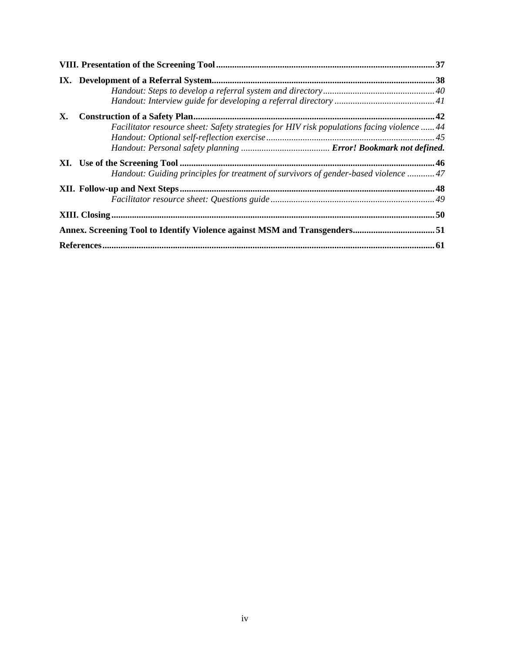| X. |                                                                                            |  |
|----|--------------------------------------------------------------------------------------------|--|
|    | Facilitator resource sheet: Safety strategies for HIV risk populations facing violence  44 |  |
|    |                                                                                            |  |
|    |                                                                                            |  |
|    |                                                                                            |  |
|    | Handout: Guiding principles for treatment of survivors of gender-based violence  47        |  |
|    |                                                                                            |  |
|    |                                                                                            |  |
|    |                                                                                            |  |
|    | Annex. Screening Tool to Identify Violence against MSM and Transgenders51                  |  |
|    |                                                                                            |  |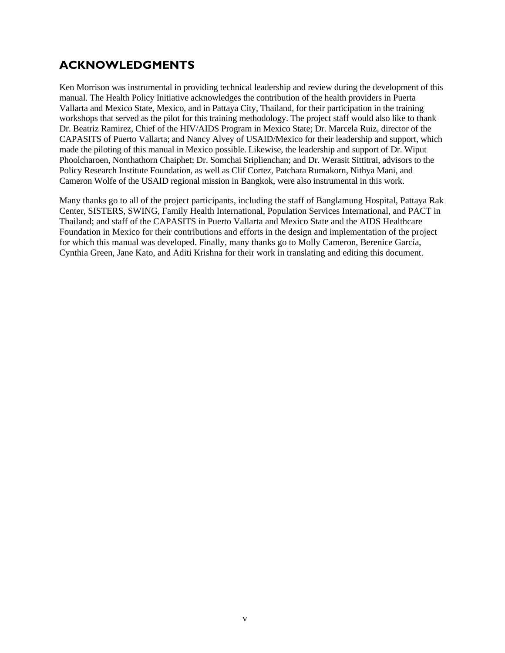### <span id="page-6-0"></span>**ACKNOWLEDGMENTS**

Ken Morrison was instrumental in providing technical leadership and review during the development of this manual. The Health Policy Initiative acknowledges the contribution of the health providers in Puerta Vallarta and Mexico State, Mexico, and in Pattaya City, Thailand, for their participation in the training workshops that served as the pilot for this training methodology. The project staff would also like to thank Dr. Beatriz Ramirez, Chief of the HIV/AIDS Program in Mexico State; Dr. Marcela Ruiz, director of the CAPASITS of Puerto Vallarta; and Nancy Alvey of USAID/Mexico for their leadership and support, which made the piloting of this manual in Mexico possible. Likewise, the leadership and support of Dr. Wiput Phoolcharoen, Nonthathorn Chaiphet; Dr. Somchai Sriplienchan; and Dr. Werasit Sittitrai, advisors to the Policy Research Institute Foundation, as well as Clif Cortez, Patchara Rumakorn, Nithya Mani, and Cameron Wolfe of the USAID regional mission in Bangkok, were also instrumental in this work.

Many thanks go to all of the project participants, including the staff of Banglamung Hospital, Pattaya Rak Center, SISTERS, SWING, Family Health International, Population Services International, and PACT in Thailand; and staff of the CAPASITS in Puerto Vallarta and Mexico State and the AIDS Healthcare Foundation in Mexico for their contributions and efforts in the design and implementation of the project for which this manual was developed. Finally, many thanks go to Molly Cameron, Berenice García, Cynthia Green, Jane Kato, and Aditi Krishna for their work in translating and editing this document.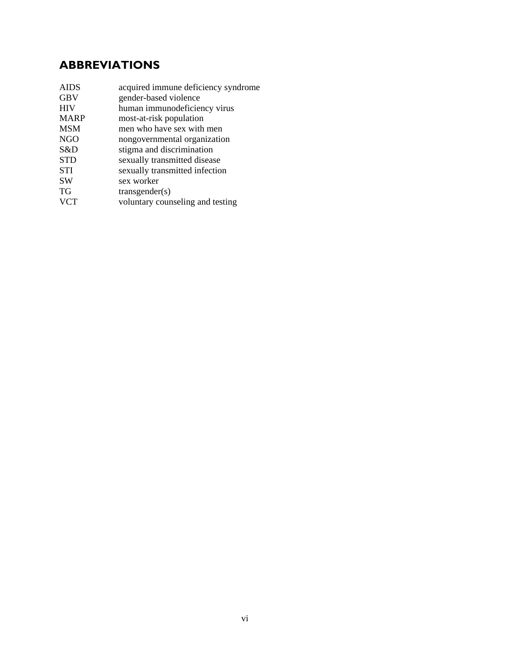## **ABBREVIATIONS**

| <b>AIDS</b> | acquired immune deficiency syndrome |
|-------------|-------------------------------------|
| <b>GBV</b>  | gender-based violence               |
| <b>HIV</b>  | human immunodeficiency virus        |
| <b>MARP</b> | most-at-risk population             |
| <b>MSM</b>  | men who have sex with men           |
| NGO         | nongovernmental organization        |
| S&D         | stigma and discrimination           |
| <b>STD</b>  | sexually transmitted disease        |
| <b>STI</b>  | sexually transmitted infection      |
| <b>SW</b>   | sex worker                          |
| <b>TG</b>   | transgender(s)                      |
| <b>VCT</b>  | voluntary counseling and testing    |
|             |                                     |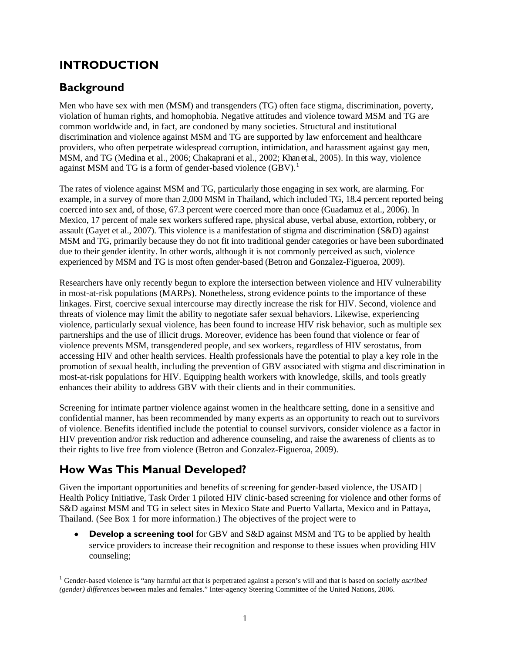### **INTRODUCTION**

### <span id="page-8-1"></span>**Background**

Men who have sex with men (MSM) and transgenders (TG) often face stigma, discrimination, poverty, violation of human rights, and homophobia. Negative attitudes and violence toward MSM and TG are common worldwide and, in fact, are condoned by many societies. Structural and institutional discrimination and violence against MSM and TG are supported by law enforcement and healthcare providers, who often perpetrate widespread corruption, intimidation, and harassment against gay men, MSM, and TG (Medina et al., 2006; Chakaprani et al., 2002; Khan et al., 2005). In this way, violence against MSM and TG is a form of gender-based violence (GBV).<sup>[1](#page-8-3)</sup>

<span id="page-8-0"></span>The rates of violence against MSM and TG, particularly those engaging in sex work, are alarming. For example, in a survey of more than 2,000 MSM in Thailand, which included TG, 18.4 percent reported being coerced into sex and, of those, 67.3 percent were coerced more than once (Guadamuz et al., 2006). In Mexico, 17 percent of male sex workers suffered rape, physical abuse, verbal abuse, extortion, robbery, or assault (Gayet et al., 2007). This violence is a manifestation of stigma and discrimination (S&D) against MSM and TG, primarily because they do not fit into traditional gender categories or have been subordinated due to their gender identity. In other words, although it is not commonly perceived as such, violence experienced by MSM and TG is most often gender-based (Betron and Gonzalez-Figueroa, 2009).

Researchers have only recently begun to explore the intersection between violence and HIV vulnerability in most-at-risk populations (MARPs). Nonetheless, strong evidence points to the importance of these linkages. First, coercive sexual intercourse may directly increase the risk for HIV. Second, violence and threats of violence may limit the ability to negotiate safer sexual behaviors. Likewise, experiencing violence, particularly sexual violence, has been found to increase HIV risk behavior, such as multiple sex partnerships and the use of illicit drugs. Moreover, evidence has been found that violence or fear of violence prevents MSM, transgendered people, and sex workers, regardless of HIV serostatus, from accessing HIV and other health services. Health professionals have the potential to play a key role in the promotion of sexual health, including the prevention of GBV associated with stigma and discrimination in most-at-risk populations for HIV. Equipping health workers with knowledge, skills, and tools greatly enhances their ability to address GBV with their clients and in their communities.

Screening for intimate partner violence against women in the healthcare setting, done in a sensitive and confidential manner, has been recommended by many experts as an opportunity to reach out to survivors of violence. Benefits identified include the potential to counsel survivors, consider violence as a factor in HIV prevention and/or risk reduction and adherence counseling, and raise the awareness of clients as to their rights to live free from violence (Betron and Gonzalez-Figueroa, 2009).

### <span id="page-8-2"></span>**How Was This Manual Developed?**

 $\overline{a}$ 

Given the important opportunities and benefits of screening for gender-based violence, the USAID  $\vert$ Health Policy Initiative, Task Order 1 piloted HIV clinic-based screening for violence and other forms of S&D against MSM and TG in select sites in Mexico State and Puerto Vallarta, Mexico and in Pattaya, Thailand. (See Box 1 for more information.) The objectives of the project were to

 **Develop a screening tool** for GBV and S&D against MSM and TG to be applied by health service providers to increase their recognition and response to these issues when providing HIV counseling;

<span id="page-8-3"></span><sup>1</sup> Gender-based violence is "any harmful act that is perpetrated against a person's will and that is based on *socially ascribed (gender) differences* between males and females." Inter-agency Steering Committee of the United Nations, 2006.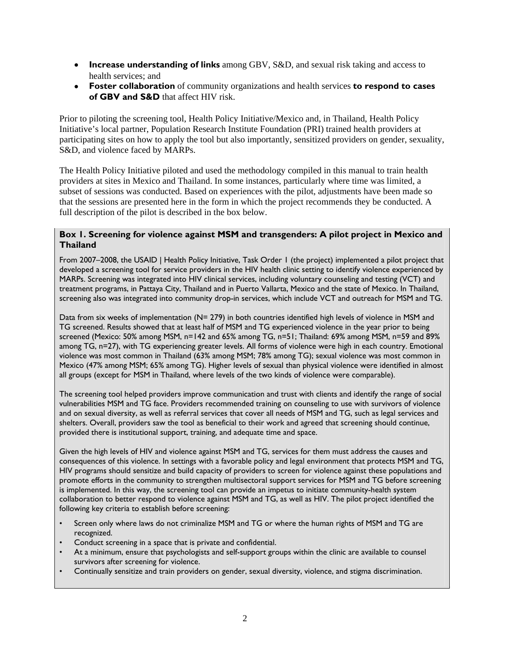- **Increase understanding of links** among GBV, S&D, and sexual risk taking and access to health services; and
- **Foster collaboration** of community organizations and health services **to respond to cases of GBV and S&D** that affect HIV risk.

Prior to piloting the screening tool, Health Policy Initiative/Mexico and, in Thailand, Health Policy Initiative's local partner, Population Research Institute Foundation (PRI) trained health providers at participating sites on how to apply the tool but also importantly, sensitized providers on gender, sexuality, S&D, and violence faced by MARPs.

<span id="page-9-0"></span>The Health Policy Initiative piloted and used the methodology compiled in this manual to train health providers at sites in Mexico and Thailand. In some instances, particularly where time was limited, a subset of sessions was conducted. Based on experiences with the pilot, adjustments have been made so that the sessions are presented here in the form in which the project recommends they be conducted. A full description of the pilot is described in the box below.

#### **Box 1. Screening for violence against MSM and transgenders: A pilot project in Mexico and Thailand**

From 2007–2008, the USAID | Health Policy Initiative, Task Order 1 (the project) implemented a pilot project that developed a screening tool for service providers in the HIV health clinic setting to identify violence experienced by MARPs. Screening was integrated into HIV clinical services, including voluntary counseling and testing (VCT) and treatment programs, in Pattaya City, Thailand and in Puerto Vallarta, Mexico and the state of Mexico. In Thailand, screening also was integrated into community drop-in services, which include VCT and outreach for MSM and TG.

Data from six weeks of implementation (N= 279) in both countries identified high levels of violence in MSM and TG screened. Results showed that at least half of MSM and TG experienced violence in the year prior to being screened (Mexico: 50% among MSM, n=142 and 65% among TG, n=51; Thailand: 69% among MSM, n=59 and 89% among TG, n=27), with TG experiencing greater levels. All forms of violence were high in each country. Emotional violence was most common in Thailand (63% among MSM; 78% among TG); sexual violence was most common in Mexico (47% among MSM; 65% among TG). Higher levels of sexual than physical violence were identified in almost all groups (except for MSM in Thailand, where levels of the two kinds of violence were comparable).

The screening tool helped providers improve communication and trust with clients and identify the range of social vulnerabilities MSM and TG face. Providers recommended training on counseling to use with survivors of violence and on sexual diversity, as well as referral services that cover all needs of MSM and TG, such as legal services and shelters. Overall, providers saw the tool as beneficial to their work and agreed that screening should continue, provided there is institutional support, training, and adequate time and space.

Given the high levels of HIV and violence against MSM and TG, services for them must address the causes and consequences of this violence. In settings with a favorable policy and legal environment that protects MSM and TG, HIV programs should sensitize and build capacity of providers to screen for violence against these populations and promote efforts in the community to strengthen multisectoral support services for MSM and TG before screening is implemented. In this way, the screening tool can provide an impetus to initiate community-health system collaboration to better respond to violence against MSM and TG, as well as HIV. The pilot project identified the following key criteria to establish before screening:

- <span id="page-9-1"></span>• Screen only where laws do not criminalize MSM and TG or where the human rights of MSM and TG are recognized.
- Conduct screening in a space that is private and confidential.
- At a minimum, ensure that psychologists and self-support groups within the clinic are available to counsel survivors after screening for violence.
- Continually sensitize and train providers on gender, sexual diversity, violence, and stigma discrimination.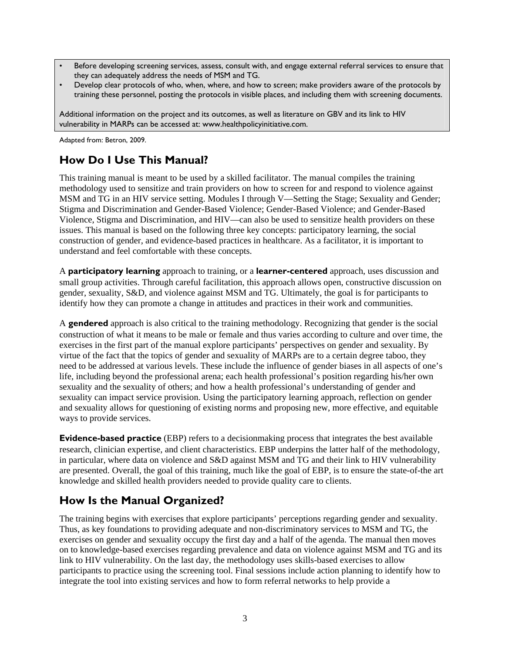- Before developing screening services, assess, consult with, and engage external referral services to ensure that they can adequately address the needs of MSM and TG.
- Develop clear protocols of who, when, where, and how to screen; make providers aware of the protocols by training these personnel, posting the protocols in visible places, and including them with screening documents.

Additional information on the project and its outcomes, as well as literature on GBV and its link to HIV vulnerability in MARPs can be accessed at: www.healthpolicyinitiative.com.

Adapted from: Betron, 2009.

### **How Do I Use This Manual?**

This training manual is meant to be used by a skilled facilitator. The manual compiles the training methodology used to sensitize and train providers on how to screen for and respond to violence against MSM and TG in an HIV service setting. Modules I through V—Setting the Stage; Sexuality and Gender; Stigma and Discrimination and Gender-Based Violence; Gender-Based Violence; and Gender-Based Violence, Stigma and Discrimination, and HIV—can also be used to sensitize health providers on these issues. This manual is based on the following three key concepts: participatory learning, the social construction of gender, and evidence-based practices in healthcare. As a facilitator, it is important to understand and feel comfortable with these concepts.

A **participatory learning** approach to training, or a **learner-centered** approach, uses discussion and small group activities. Through careful facilitation, this approach allows open, constructive discussion on gender, sexuality, S&D, and violence against MSM and TG. Ultimately, the goal is for participants to identify how they can promote a change in attitudes and practices in their work and communities.

A **gendered** approach is also critical to the training methodology. Recognizing that gender is the social construction of what it means to be male or female and thus varies according to culture and over time, the exercises in the first part of the manual explore participants' perspectives on gender and sexuality. By virtue of the fact that the topics of gender and sexuality of MARPs are to a certain degree taboo, they need to be addressed at various levels. These include the influence of gender biases in all aspects of one's life, including beyond the professional arena; each health professional's position regarding his/her own sexuality and the sexuality of others; and how a health professional's understanding of gender and sexuality can impact service provision. Using the participatory learning approach, reflection on gender and sexuality allows for questioning of existing norms and proposing new, more effective, and equitable ways to provide services.

**Evidence-based practice** (EBP) refers to a decisionmaking process that integrates the best available research, clinician expertise, and client characteristics. EBP underpins the latter half of the methodology, in particular, where data on violence and S&D against MSM and TG and their link to HIV vulnerability are presented. Overall, the goal of this training, much like the goal of EBP, is to ensure the state-of-the art knowledge and skilled health providers needed to provide quality care to clients.

### **How Is the Manual Organized?**

The training begins with exercises that explore participants' perceptions regarding gender and sexuality. Thus, as key foundations to providing adequate and non-discriminatory services to MSM and TG, the exercises on gender and sexuality occupy the first day and a half of the agenda. The manual then moves on to knowledge-based exercises regarding prevalence and data on violence against MSM and TG and its link to HIV vulnerability. On the last day, the methodology uses skills-based exercises to allow participants to practice using the screening tool. Final sessions include action planning to identify how to integrate the tool into existing services and how to form referral networks to help provide a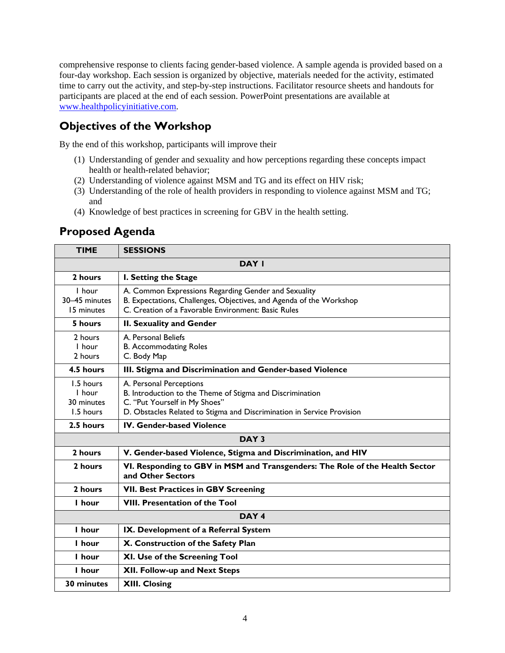comprehensive response to clients facing gender-based violence. A sample agenda is provided based on a four-day workshop. Each session is organized by objective, materials needed for the activity, estimated time to carry out the activity, and step-by-step instructions. Facilitator resource sheets and handouts for participants are placed at the end of each session. PowerPoint presentations are available at [www.healthpolicyinitiative.com.](http://www.healthpolicyinitiative.com/)

### <span id="page-11-0"></span>**Objectives of the Workshop**

By the end of this workshop, participants will improve their

- (1) Understanding of gender and sexuality and how perceptions regarding these concepts impact health or health-related behavior;
- (2) Understanding of violence against MSM and TG and its effect on HIV risk;
- (3) Understanding of the role of health providers in responding to violence against MSM and TG; and
- (4) Knowledge of best practices in screening for GBV in the health setting.

<span id="page-11-1"></span>

| <b>TIME</b>                                            | <b>SESSIONS</b>                                                                                                                                                                                 |  |  |  |  |  |
|--------------------------------------------------------|-------------------------------------------------------------------------------------------------------------------------------------------------------------------------------------------------|--|--|--|--|--|
| DAY I                                                  |                                                                                                                                                                                                 |  |  |  |  |  |
| 2 hours<br>I. Setting the Stage                        |                                                                                                                                                                                                 |  |  |  |  |  |
| I hour<br>30-45 minutes<br>15 minutes                  | A. Common Expressions Regarding Gender and Sexuality<br>B. Expectations, Challenges, Objectives, and Agenda of the Workshop<br>C. Creation of a Favorable Environment: Basic Rules              |  |  |  |  |  |
| 5 hours<br>II. Sexuality and Gender                    |                                                                                                                                                                                                 |  |  |  |  |  |
| 2 hours<br>I hour<br>2 hours                           | A. Personal Beliefs<br><b>B.</b> Accommodating Roles<br>C. Body Map                                                                                                                             |  |  |  |  |  |
| 4.5 hours                                              | III. Stigma and Discrimination and Gender-based Violence                                                                                                                                        |  |  |  |  |  |
| 1.5 hours<br>I hour<br>30 minutes<br>1.5 hours         | A. Personal Perceptions<br>B. Introduction to the Theme of Stigma and Discrimination<br>C. "Put Yourself in My Shoes"<br>D. Obstacles Related to Stigma and Discrimination in Service Provision |  |  |  |  |  |
| 2.5 hours                                              | <b>IV. Gender-based Violence</b>                                                                                                                                                                |  |  |  |  |  |
|                                                        | DAY <sub>3</sub>                                                                                                                                                                                |  |  |  |  |  |
| 2 hours                                                | V. Gender-based Violence, Stigma and Discrimination, and HIV                                                                                                                                    |  |  |  |  |  |
| 2 hours                                                | VI. Responding to GBV in MSM and Transgenders: The Role of the Health Sector<br>and Other Sectors                                                                                               |  |  |  |  |  |
| 2 hours<br><b>VII. Best Practices in GBV Screening</b> |                                                                                                                                                                                                 |  |  |  |  |  |
| I hour                                                 | <b>VIII. Presentation of the Tool</b>                                                                                                                                                           |  |  |  |  |  |
| DAY <sub>4</sub>                                       |                                                                                                                                                                                                 |  |  |  |  |  |
| I hour                                                 | IX. Development of a Referral System                                                                                                                                                            |  |  |  |  |  |
| l hour                                                 | X. Construction of the Safety Plan                                                                                                                                                              |  |  |  |  |  |
| I hour<br>XI. Use of the Screening Tool                |                                                                                                                                                                                                 |  |  |  |  |  |
| XII. Follow-up and Next Steps<br>I hour                |                                                                                                                                                                                                 |  |  |  |  |  |
| 30 minutes<br><b>XIII. Closing</b>                     |                                                                                                                                                                                                 |  |  |  |  |  |

### **Proposed Agenda**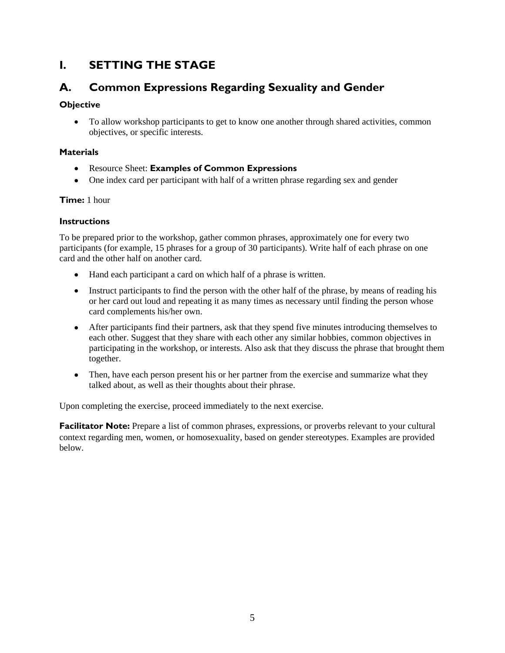### <span id="page-12-0"></span>**I. SETTING THE STAGE**

### <span id="page-12-1"></span>**A. Common Expressions Regarding Sexuality and Gender**

### **Objective**

 To allow workshop participants to get to know one another through shared activities, common objectives, or specific interests.

### **Materials**

- Resource Sheet: **Examples of Common Expressions**
- One index card per participant with half of a written phrase regarding sex and gender

### **Time:** 1 hour

### **Instructions**

To be prepared prior to the workshop, gather common phrases, approximately one for every two participants (for example, 15 phrases for a group of 30 participants). Write half of each phrase on one card and the other half on another card.

- Hand each participant a card on which half of a phrase is written.
- Instruct participants to find the person with the other half of the phrase, by means of reading his or her card out loud and repeating it as many times as necessary until finding the person whose card complements his/her own.
- After participants find their partners, ask that they spend five minutes introducing themselves to each other. Suggest that they share with each other any similar hobbies, common objectives in participating in the workshop, or interests. Also ask that they discuss the phrase that brought them together.
- Then, have each person present his or her partner from the exercise and summarize what they talked about, as well as their thoughts about their phrase.

Upon completing the exercise, proceed immediately to the next exercise.

**Facilitator Note:** Prepare a list of common phrases, expressions, or proverbs relevant to your cultural context regarding men, women, or homosexuality, based on gender stereotypes. Examples are provided below.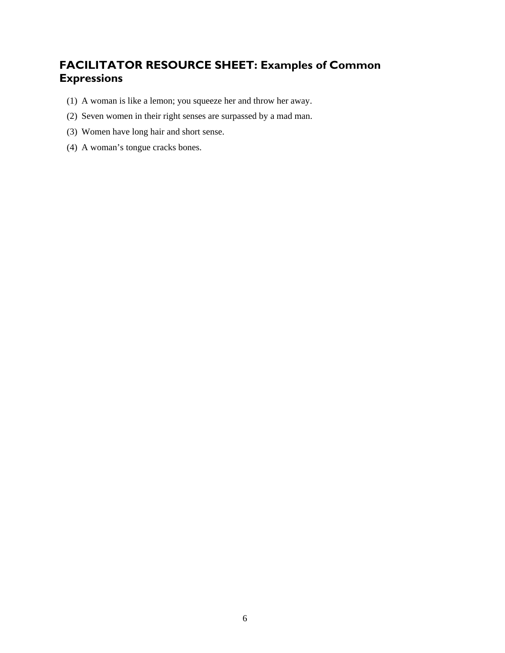### <span id="page-13-0"></span>**FACILITATOR RESOURCE SHEET: Examples of Common Expressions**

- (1) A woman is like a lemon; you squeeze her and throw her away.
- (2) Seven women in their right senses are surpassed by a mad man.
- (3) Women have long hair and short sense.
- (4) A woman's tongue cracks bones.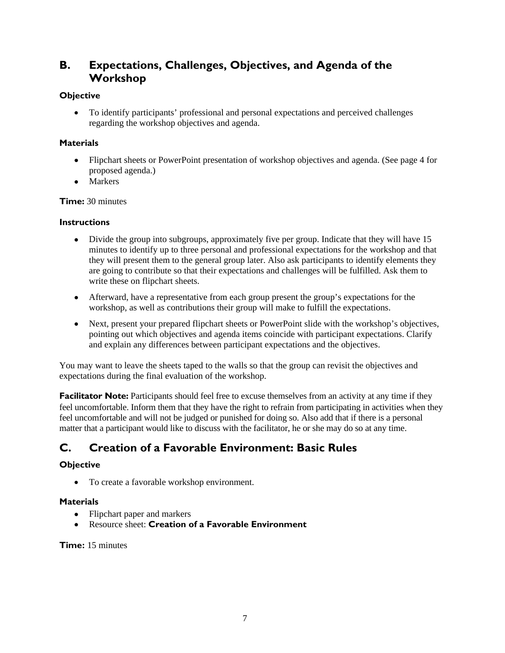### <span id="page-14-0"></span>**B. Expectations, Challenges, Objectives, and Agenda of the Workshop**

### **Objective**

 To identify participants' professional and personal expectations and perceived challenges regarding the workshop objectives and agenda.

### **Materials**

- Flipchart sheets or PowerPoint presentation of workshop objectives and agenda. (See page 4 for proposed agenda.)
- Markers

#### **Time:** 30 minutes

#### **Instructions**

- Divide the group into subgroups, approximately five per group. Indicate that they will have 15 minutes to identify up to three personal and professional expectations for the workshop and that they will present them to the general group later. Also ask participants to identify elements they are going to contribute so that their expectations and challenges will be fulfilled. Ask them to write these on flipchart sheets.
- Afterward, have a representative from each group present the group's expectations for the workshop, as well as contributions their group will make to fulfill the expectations.
- Next, present your prepared flipchart sheets or PowerPoint slide with the workshop's objectives, pointing out which objectives and agenda items coincide with participant expectations. Clarify and explain any differences between participant expectations and the objectives.

You may want to leave the sheets taped to the walls so that the group can revisit the objectives and expectations during the final evaluation of the workshop.

**Facilitator Note:** Participants should feel free to excuse themselves from an activity at any time if they feel uncomfortable. Inform them that they have the right to refrain from participating in activities when they feel uncomfortable and will not be judged or punished for doing so. Also add that if there is a personal matter that a participant would like to discuss with the facilitator, he or she may do so at any time.

### <span id="page-14-1"></span>**C. Creation of a Favorable Environment: Basic Rules**

### **Objective**

• To create a favorable workshop environment.

#### **Materials**

- Flipchart paper and markers
- Resource sheet: **Creation of a Favorable Environment**

#### **Time:** 15 minutes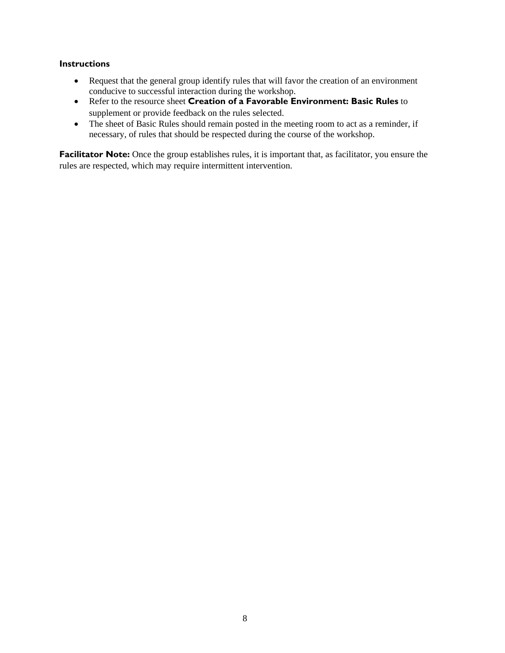#### **Instructions**

- Request that the general group identify rules that will favor the creation of an environment conducive to successful interaction during the workshop.
- Refer to the resource sheet **Creation of a Favorable Environment: Basic Rules** to supplement or provide feedback on the rules selected.
- The sheet of Basic Rules should remain posted in the meeting room to act as a reminder, if necessary, of rules that should be respected during the course of the workshop.

**Facilitator Note:** Once the group establishes rules, it is important that, as facilitator, you ensure the rules are respected, which may require intermittent intervention.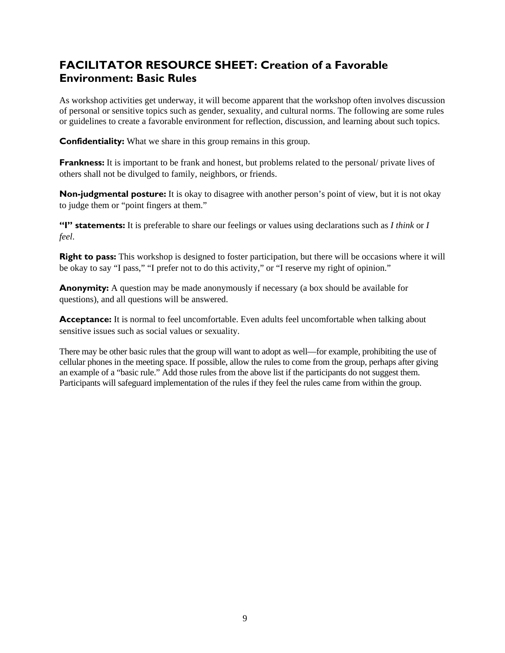### <span id="page-16-0"></span>**FACILITATOR RESOURCE SHEET: Creation of a Favorable Environment: Basic Rules**

As workshop activities get underway, it will become apparent that the workshop often involves discussion of personal or sensitive topics such as gender, sexuality, and cultural norms. The following are some rules or guidelines to create a favorable environment for reflection, discussion, and learning about such topics.

**Confidentiality:** What we share in this group remains in this group.

**Frankness:** It is important to be frank and honest, but problems related to the personal/ private lives of others shall not be divulged to family, neighbors, or friends.

**Non-judgmental posture:** It is okay to disagree with another person's point of view, but it is not okay to judge them or "point fingers at them."

**"I" statements:** It is preferable to share our feelings or values using declarations such as *I think* or *I feel*.

**Right to pass:** This workshop is designed to foster participation, but there will be occasions where it will be okay to say "I pass," "I prefer not to do this activity," or "I reserve my right of opinion."

**Anonymity:** A question may be made anonymously if necessary (a box should be available for questions), and all questions will be answered.

**Acceptance:** It is normal to feel uncomfortable. Even adults feel uncomfortable when talking about sensitive issues such as social values or sexuality.

There may be other basic rules that the group will want to adopt as well—for example, prohibiting the use of cellular phones in the meeting space. If possible, allow the rules to come from the group, perhaps after giving an example of a "basic rule." Add those rules from the above list if the participants do not suggest them. Participants will safeguard implementation of the rules if they feel the rules came from within the group.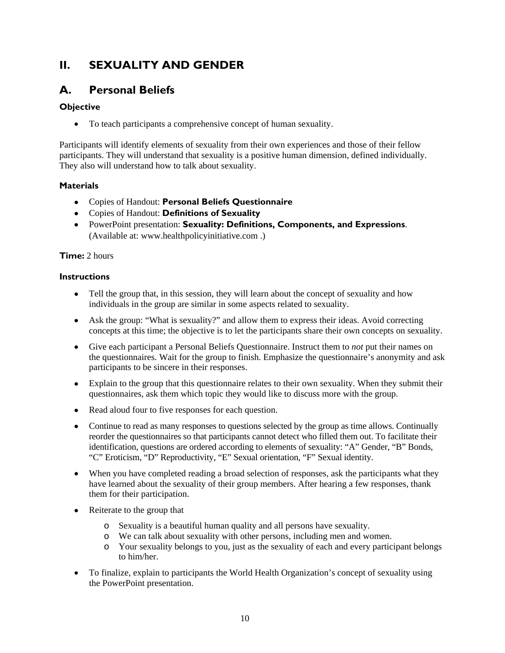### <span id="page-17-0"></span>**II. SEXUALITY AND GENDER**

### <span id="page-17-1"></span>**A. Personal Beliefs**

### **Objective**

To teach participants a comprehensive concept of human sexuality.

Participants will identify elements of sexuality from their own experiences and those of their fellow participants. They will understand that sexuality is a positive human dimension, defined individually. They also will understand how to talk about sexuality.

### **Materials**

- Copies of Handout: **Personal Beliefs Questionnaire**
- Copies of Handout: **Definitions of Sexuality**
- PowerPoint presentation: **Sexuality: Definitions, Components, and Expressions**. (Available at: www.healthpolicyinitiative.com .)

### **Time:** 2 hours

#### **Instructions**

- Tell the group that, in this session, they will learn about the concept of sexuality and how individuals in the group are similar in some aspects related to sexuality.
- Ask the group: "What is sexuality?" and allow them to express their ideas. Avoid correcting concepts at this time; the objective is to let the participants share their own concepts on sexuality.
- Give each participant a Personal Beliefs Questionnaire. Instruct them to *not* put their names on the questionnaires. Wait for the group to finish. Emphasize the questionnaire's anonymity and ask participants to be sincere in their responses.
- Explain to the group that this questionnaire relates to their own sexuality. When they submit their questionnaires, ask them which topic they would like to discuss more with the group.
- Read aloud four to five responses for each question.
- Continue to read as many responses to questions selected by the group as time allows. Continually reorder the questionnaires so that participants cannot detect who filled them out. To facilitate their identification, questions are ordered according to elements of sexuality: "A" Gender, "B" Bonds, "C" Eroticism, "D" Reproductivity, "E" Sexual orientation, "F" Sexual identity.
- When you have completed reading a broad selection of responses, ask the participants what they have learned about the sexuality of their group members. After hearing a few responses, thank them for their participation.
- Reiterate to the group that
	- o Sexuality is a beautiful human quality and all persons have sexuality.
	- o We can talk about sexuality with other persons, including men and women.
	- o Your sexuality belongs to you, just as the sexuality of each and every participant belongs to him/her.
- To finalize, explain to participants the World Health Organization's concept of sexuality using the PowerPoint presentation.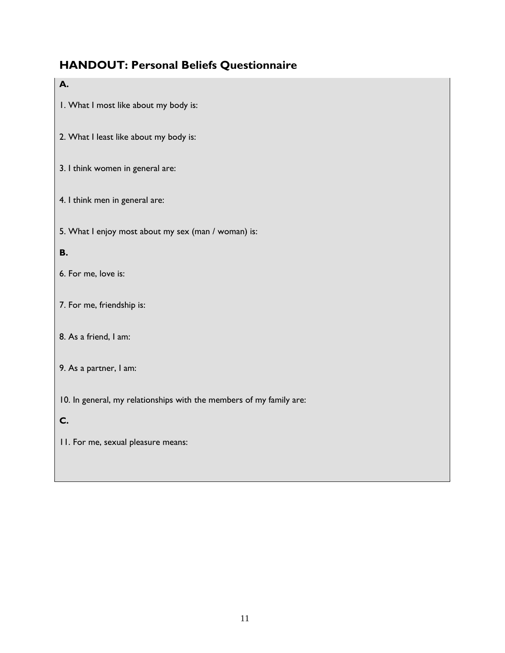# **HANDOUT: Personal Beliefs Questionnaire**

<span id="page-18-0"></span>

| А.                                                                  |  |  |  |  |
|---------------------------------------------------------------------|--|--|--|--|
| I. What I most like about my body is:                               |  |  |  |  |
| 2. What I least like about my body is:                              |  |  |  |  |
| 3. I think women in general are:                                    |  |  |  |  |
| 4. I think men in general are:                                      |  |  |  |  |
| 5. What I enjoy most about my sex (man / woman) is:                 |  |  |  |  |
| <b>B.</b>                                                           |  |  |  |  |
| 6. For me, love is:                                                 |  |  |  |  |
| 7. For me, friendship is:                                           |  |  |  |  |
| 8. As a friend, I am:                                               |  |  |  |  |
| 9. As a partner, I am:                                              |  |  |  |  |
| 10. In general, my relationships with the members of my family are: |  |  |  |  |
| C.                                                                  |  |  |  |  |
| 11. For me, sexual pleasure means:                                  |  |  |  |  |
|                                                                     |  |  |  |  |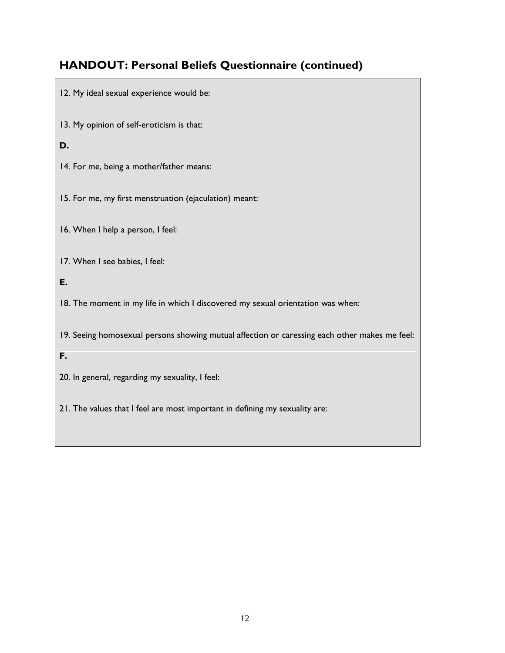## **HANDOUT: Personal Beliefs Questionnaire (continued)**

- 12. My ideal sexual experience would be:
- 13. My opinion of self-eroticism is that:
- **D.**
- 14. For me, being a mother/father means:
- 15. For me, my first menstruation (ejaculation) meant:
- 16. When I help a person, I feel:
- 17. When I see babies, I feel:
- **E.**
- 18. The moment in my life in which I discovered my sexual orientation was when:
- 19. Seeing homosexual persons showing mutual affection or caressing each other makes me feel:
- **F.**
- 20. In general, regarding my sexuality, I feel:
- 21. The values that I feel are most important in defining my sexuality are: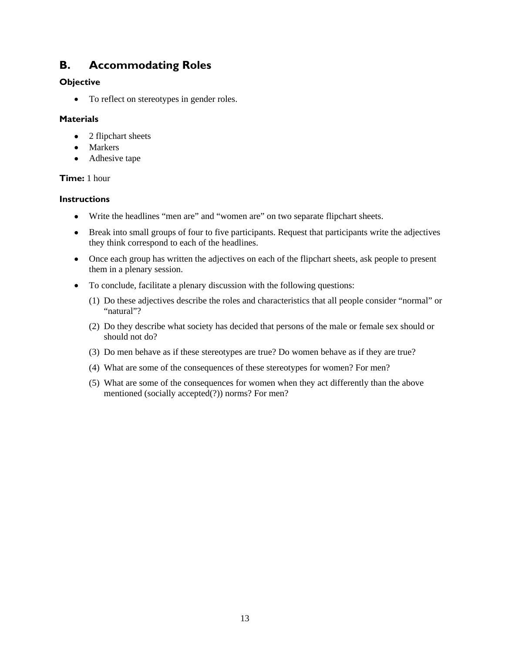### <span id="page-20-0"></span>**B. Accommodating Roles**

### **Objective**

• To reflect on stereotypes in gender roles.

### **Materials**

- 2 flipchart sheets
- Markers
- Adhesive tape

### **Time:** 1 hour

### **Instructions**

- Write the headlines "men are" and "women are" on two separate flipchart sheets.
- Break into small groups of four to five participants. Request that participants write the adjectives they think correspond to each of the headlines.
- Once each group has written the adjectives on each of the flipchart sheets, ask people to present them in a plenary session.
- To conclude, facilitate a plenary discussion with the following questions:
	- (1) Do these adjectives describe the roles and characteristics that all people consider "normal" or "natural"?
	- (2) Do they describe what society has decided that persons of the male or female sex should or should not do?
	- (3) Do men behave as if these stereotypes are true? Do women behave as if they are true?
	- (4) What are some of the consequences of these stereotypes for women? For men?
	- (5) What are some of the consequences for women when they act differently than the above mentioned (socially accepted(?)) norms? For men?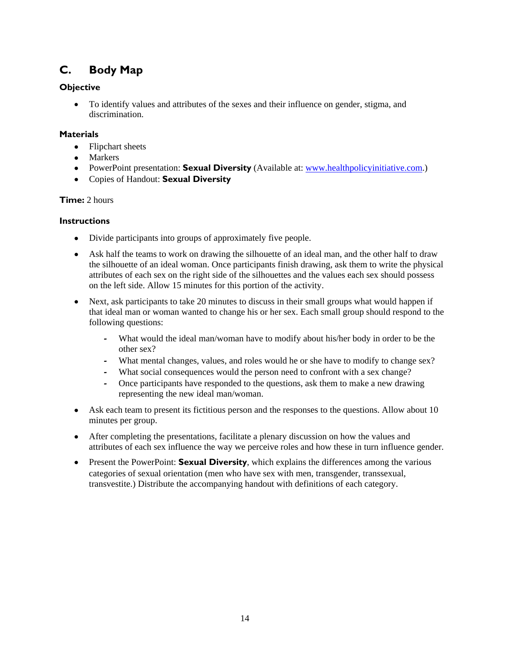### <span id="page-21-0"></span>**C. Body Map**

### **Objective**

 To identify values and attributes of the sexes and their influence on gender, stigma, and discrimination.

### **Materials**

- Flipchart sheets
- Markers
- PowerPoint presentation: **Sexual Diversity** (Available at: [www.healthpolicyinitiative.com](http://www.healthpolicyinitiative.com/).)
- Copies of Handout: **Sexual Diversity**

### **Time:** 2 hours

#### **Instructions**

- Divide participants into groups of approximately five people.
- Ask half the teams to work on drawing the silhouette of an ideal man, and the other half to draw the silhouette of an ideal woman. Once participants finish drawing, ask them to write the physical attributes of each sex on the right side of the silhouettes and the values each sex should possess on the left side. Allow 15 minutes for this portion of the activity.
- Next, ask participants to take 20 minutes to discuss in their small groups what would happen if that ideal man or woman wanted to change his or her sex. Each small group should respond to the following questions:
	- **‐** What would the ideal man/woman have to modify about his/her body in order to be the other sex?
	- **‐** What mental changes, values, and roles would he or she have to modify to change sex?
	- What social consequences would the person need to confront with a sex change?
	- **‐** Once participants have responded to the questions, ask them to make a new drawing representing the new ideal man/woman.
- Ask each team to present its fictitious person and the responses to the questions. Allow about 10 minutes per group.
- After completing the presentations, facilitate a plenary discussion on how the values and attributes of each sex influence the way we perceive roles and how these in turn influence gender.
- Present the PowerPoint: **Sexual Diversity**, which explains the differences among the various categories of sexual orientation (men who have sex with men, transgender, transsexual, transvestite.) Distribute the accompanying handout with definitions of each category.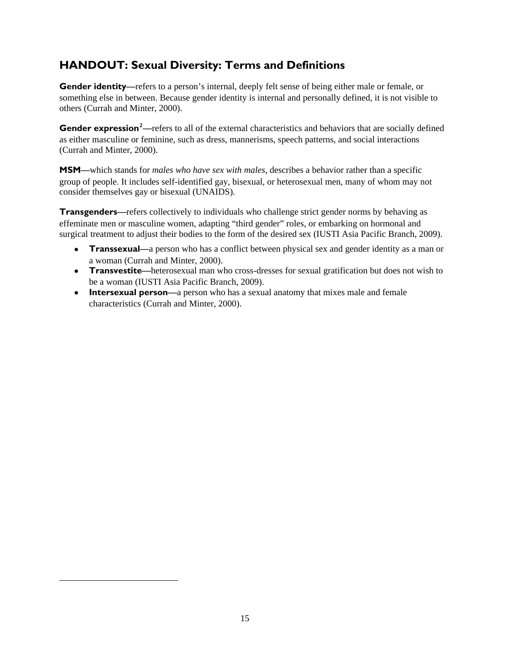### <span id="page-22-0"></span>**HANDOUT: Sexual Diversity: Terms and Definitions**

**Gender identity**—refers to a person's internal, deeply felt sense of being either male or female, or something else in between. Because gender identity is internal and personally defined, it is not visible to others (Currah and Minter, 2000).

**Gender expression<sup>[2](#page-22-1)</sup>**—refers to all of the external characteristics and behaviors that are socially defined as either masculine or feminine, such as dress, mannerisms, speech patterns, and social interactions (Currah and Minter, 2000).

**MSM—**which stands for *males who have sex with males*, describes a behavior rather than a specific group of people. It includes self-identified gay, bisexual, or heterosexual men, many of whom may not consider themselves gay or bisexual (UNAIDS).

**Transgenders—**refers collectively to individuals who challenge strict gender norms by behaving as effeminate men or masculine women, adapting "third gender" roles, or embarking on hormonal and surgical treatment to adjust their bodies to the form of the desired sex (IUSTI Asia Pacific Branch, 2009).

- **Transsexual—**a person who has a conflict between physical sex and gender identity as a man or a woman (Currah and Minter, 2000).
- **Transvestite**—heterosexual man who cross-dresses for sexual gratification but does not wish to be a woman (IUSTI Asia Pacific Branch, 2009).
- **Intersexual person**—a person who has a sexual anatomy that mixes male and female characteristics (Currah and Minter, 2000).

<span id="page-22-1"></span> $\overline{a}$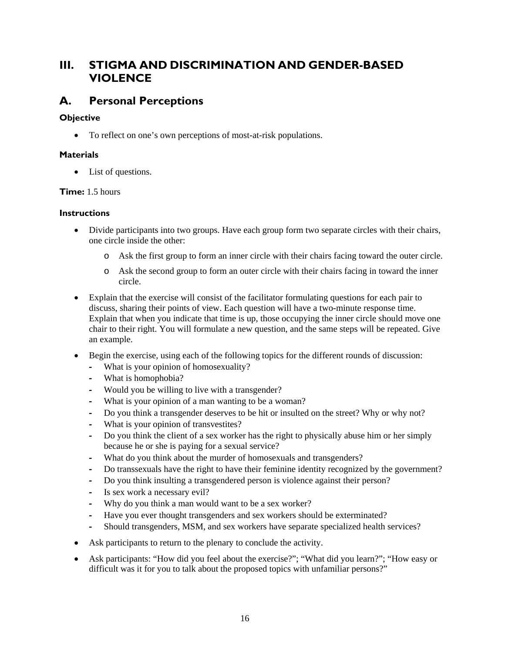### <span id="page-23-0"></span>**III. STIGMA AND DISCRIMINATION AND GENDER-BASED VIOLENCE**

### <span id="page-23-1"></span>**A. Personal Perceptions**

### **Objective**

To reflect on one's own perceptions of most-at-risk populations.

### **Materials**

• List of questions.

### **Time:** 1.5 hours

### **Instructions**

- Divide participants into two groups. Have each group form two separate circles with their chairs, one circle inside the other:
	- o Ask the first group to form an inner circle with their chairs facing toward the outer circle.
	- o Ask the second group to form an outer circle with their chairs facing in toward the inner circle.
- Explain that the exercise will consist of the facilitator formulating questions for each pair to discuss, sharing their points of view. Each question will have a two-minute response time. Explain that when you indicate that time is up, those occupying the inner circle should move one chair to their right. You will formulate a new question, and the same steps will be repeated. Give an example.
- Begin the exercise, using each of the following topics for the different rounds of discussion:
	- **‐** What is your opinion of homosexuality?
	- **‐** What is homophobia?
	- **‐** Would you be willing to live with a transgender?
	- **‐** What is your opinion of a man wanting to be a woman?
	- **‐** Do you think a transgender deserves to be hit or insulted on the street? Why or why not?
	- **‐** What is your opinion of transvestites?
	- **‐** Do you think the client of a sex worker has the right to physically abuse him or her simply because he or she is paying for a sexual service?
	- **‐** What do you think about the murder of homosexuals and transgenders?
	- **‐** Do transsexuals have the right to have their feminine identity recognized by the government?
	- **‐** Do you think insulting a transgendered person is violence against their person?
	- **‐** Is sex work a necessary evil?
	- **‐** Why do you think a man would want to be a sex worker?
	- **‐** Have you ever thought transgenders and sex workers should be exterminated?
	- **‐** Should transgenders, MSM, and sex workers have separate specialized health services?
- Ask participants to return to the plenary to conclude the activity.
- Ask participants: "How did you feel about the exercise?"; "What did you learn?"; "How easy or difficult was it for you to talk about the proposed topics with unfamiliar persons?"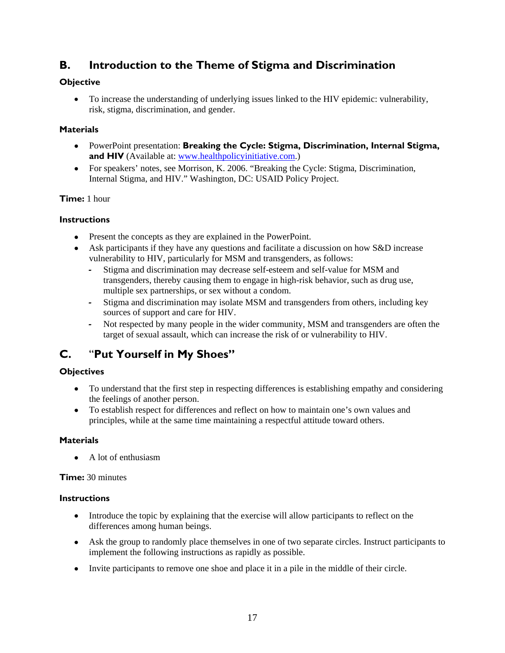### <span id="page-24-0"></span>**B. Introduction to the Theme of Stigma and Discrimination**

### **Objective**

 To increase the understanding of underlying issues linked to the HIV epidemic: vulnerability, risk, stigma, discrimination, and gender.

### **Materials**

- PowerPoint presentation: **Breaking the Cycle: Stigma, Discrimination, Internal Stigma,**  and HIV (Available at: [www.healthpolicyinitiative.com.](http://www.healthpolicyinitiative.com/))
- For speakers' notes, see Morrison, K. 2006. "Breaking the Cycle: Stigma, Discrimination, Internal Stigma, and HIV." Washington, DC: USAID Policy Project.

### **Time:** 1 hour

### **Instructions**

- Present the concepts as they are explained in the PowerPoint.
- Ask participants if they have any questions and facilitate a discussion on how S&D increase vulnerability to HIV, particularly for MSM and transgenders, as follows:
	- **‐** Stigma and discrimination may decrease self-esteem and self-value for MSM and transgenders, thereby causing them to engage in high-risk behavior, such as drug use, multiple sex partnerships, or sex without a condom.
	- **‐** Stigma and discrimination may isolate MSM and transgenders from others, including key sources of support and care for HIV.
	- **‐** Not respected by many people in the wider community, MSM and transgenders are often the target of sexual assault, which can increase the risk of or vulnerability to HIV.

### <span id="page-24-1"></span>**C.** "**Put Yourself in My Shoes"**

### **Objectives**

- To understand that the first step in respecting differences is establishing empathy and considering the feelings of another person.
- To establish respect for differences and reflect on how to maintain one's own values and principles, while at the same time maintaining a respectful attitude toward others.

### **Materials**

A lot of enthusiasm

**Time:** 30 minutes

### **Instructions**

- Introduce the topic by explaining that the exercise will allow participants to reflect on the differences among human beings.
- Ask the group to randomly place themselves in one of two separate circles. Instruct participants to implement the following instructions as rapidly as possible.
- Invite participants to remove one shoe and place it in a pile in the middle of their circle.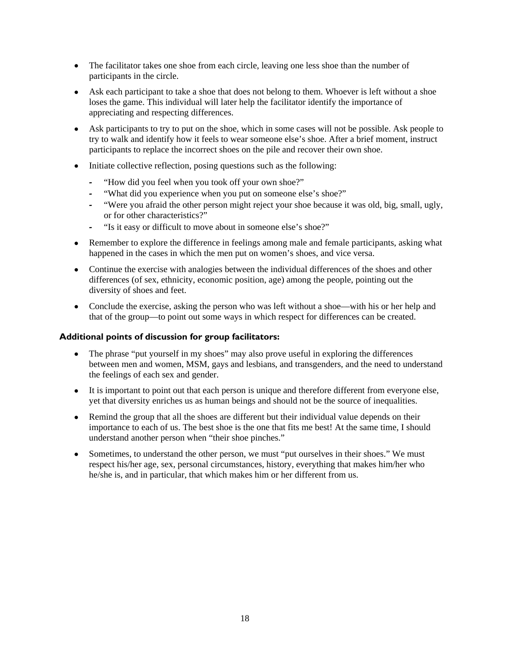- The facilitator takes one shoe from each circle, leaving one less shoe than the number of participants in the circle.
- Ask each participant to take a shoe that does not belong to them. Whoever is left without a shoe loses the game. This individual will later help the facilitator identify the importance of appreciating and respecting differences.
- Ask participants to try to put on the shoe, which in some cases will not be possible. Ask people to try to walk and identify how it feels to wear someone else's shoe. After a brief moment, instruct participants to replace the incorrect shoes on the pile and recover their own shoe.
- Initiate collective reflection, posing questions such as the following:
	- **‐** "How did you feel when you took off your own shoe?"
	- **‐** "What did you experience when you put on someone else's shoe?"
	- **‐** "Were you afraid the other person might reject your shoe because it was old, big, small, ugly, or for other characteristics?"
	- **‐** "Is it easy or difficult to move about in someone else's shoe?"
- Remember to explore the difference in feelings among male and female participants, asking what happened in the cases in which the men put on women's shoes, and vice versa.
- Continue the exercise with analogies between the individual differences of the shoes and other differences (of sex, ethnicity, economic position, age) among the people, pointing out the diversity of shoes and feet.
- Conclude the exercise, asking the person who was left without a shoe—with his or her help and that of the group—to point out some ways in which respect for differences can be created.

#### **Additional points of discussion for group facilitators:**

- The phrase "put yourself in my shoes" may also prove useful in exploring the differences between men and women, MSM, gays and lesbians, and transgenders, and the need to understand the feelings of each sex and gender.
- It is important to point out that each person is unique and therefore different from everyone else, yet that diversity enriches us as human beings and should not be the source of inequalities.
- Remind the group that all the shoes are different but their individual value depends on their importance to each of us. The best shoe is the one that fits me best! At the same time, I should understand another person when "their shoe pinches."
- Sometimes, to understand the other person, we must "put ourselves in their shoes." We must respect his/her age, sex, personal circumstances, history, everything that makes him/her who he/she is, and in particular, that which makes him or her different from us.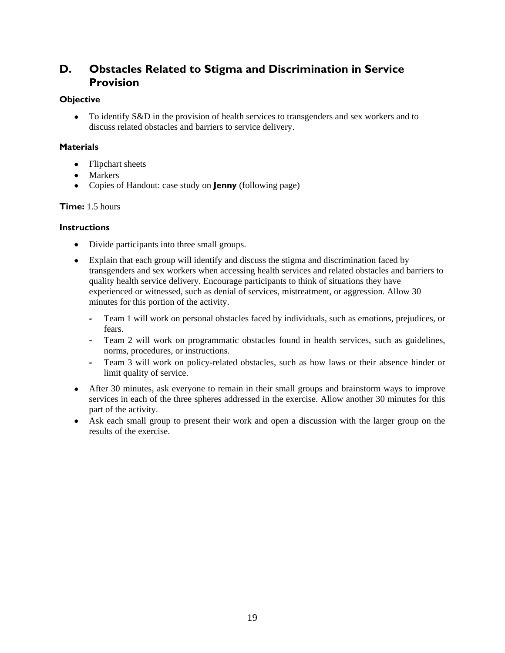### <span id="page-26-0"></span>**D. Obstacles Related to Stigma and Discrimination in Service Provision**

#### **Objective**

• To identify S&D in the provision of health services to transgenders and sex workers and to discuss related obstacles and barriers to service delivery.

#### **Materials**

- Flipchart sheets
- Markers
- Copies of Handout: case study on **Jenny** (following page)

#### **Time:** 1.5 hours

#### **Instructions**

- Divide participants into three small groups.
- Explain that each group will identify and discuss the stigma and discrimination faced by transgenders and sex workers when accessing health services and related obstacles and barriers to quality health service delivery. Encourage participants to think of situations they have experienced or witnessed, such as denial of services, mistreatment, or aggression. Allow 30 minutes for this portion of the activity.
	- **‐** Team 1 will work on personal obstacles faced by individuals, such as emotions, prejudices, or fears.
	- **‐** Team 2 will work on programmatic obstacles found in health services, such as guidelines, norms, procedures, or instructions.
	- **‐** Team 3 will work on policy-related obstacles, such as how laws or their absence hinder or limit quality of service.
- After 30 minutes, ask everyone to remain in their small groups and brainstorm ways to improve services in each of the three spheres addressed in the exercise. Allow another 30 minutes for this part of the activity.
- Ask each small group to present their work and open a discussion with the larger group on the results of the exercise.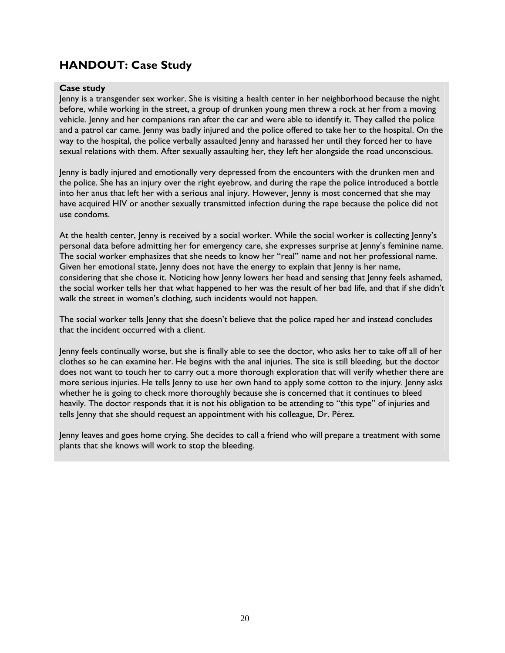### <span id="page-27-0"></span>**HANDOUT: Case Study**

#### **Case study**

Jenny is a transgender sex worker. She is visiting a health center in her neighborhood because the night before, while working in the street, a group of drunken young men threw a rock at her from a moving vehicle. Jenny and her companions ran after the car and were able to identify it. They called the police and a patrol car came. Jenny was badly injured and the police offered to take her to the hospital. On the way to the hospital, the police verbally assaulted Jenny and harassed her until they forced her to have sexual relations with them. After sexually assaulting her, they left her alongside the road unconscious.

Jenny is badly injured and emotionally very depressed from the encounters with the drunken men and the police. She has an injury over the right eyebrow, and during the rape the police introduced a bottle into her anus that left her with a serious anal injury. However, Jenny is most concerned that she may have acquired HIV or another sexually transmitted infection during the rape because the police did not use condoms.

At the health center, Jenny is received by a social worker. While the social worker is collecting Jenny's personal data before admitting her for emergency care, she expresses surprise at Jenny's feminine name. The social worker emphasizes that she needs to know her "real" name and not her professional name. Given her emotional state, Jenny does not have the energy to explain that Jenny is her name, considering that she chose it. Noticing how Jenny lowers her head and sensing that Jenny feels ashamed, the social worker tells her that what happened to her was the result of her bad life, and that if she didn't walk the street in women's clothing, such incidents would not happen.

The social worker tells Jenny that she doesn't believe that the police raped her and instead concludes that the incident occurred with a client.

Jenny feels continually worse, but she is finally able to see the doctor, who asks her to take off all of her clothes so he can examine her. He begins with the anal injuries. The site is still bleeding, but the doctor does not want to touch her to carry out a more thorough exploration that will verify whether there are more serious injuries. He tells Jenny to use her own hand to apply some cotton to the injury. Jenny asks whether he is going to check more thoroughly because she is concerned that it continues to bleed heavily. The doctor responds that it is not his obligation to be attending to "this type" of injuries and tells Jenny that she should request an appointment with his colleague, Dr. Pérez.

Jenny leaves and goes home crying. She decides to call a friend who will prepare a treatment with some plants that she knows will work to stop the bleeding.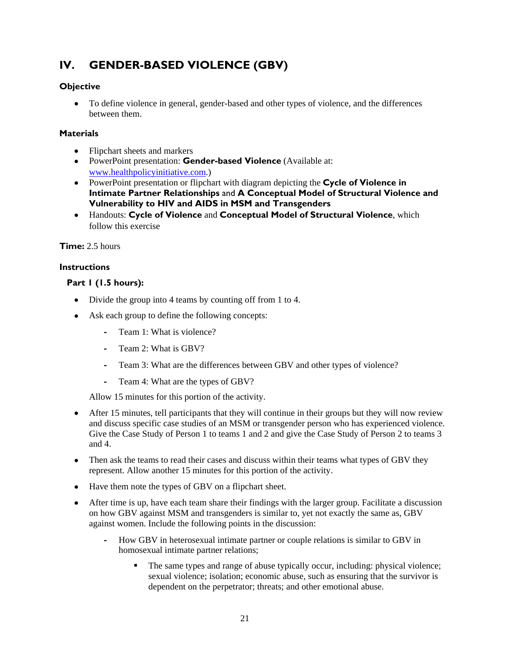# <span id="page-28-0"></span>**IV. GENDER-BASED VIOLENCE (GBV)**

### **Objective**

 To define violence in general, gender-based and other types of violence, and the differences between them.

### **Materials**

- Flipchart sheets and markers
- PowerPoint presentation: **Gender-based Violence** (Available at: [www.healthpolicyinitiative.com.](http://www.healthpolicyinitiative.com/))
- PowerPoint presentation or flipchart with diagram depicting the **Cycle of Violence in Intimate Partner Relationships** and **A Conceptual Model of Structural Violence and Vulnerability to HIV and AIDS in MSM and Transgenders**
- Handouts: **Cycle of Violence** and **Conceptual Model of Structural Violence**, which follow this exercise

**Time:** 2.5 hours

### **Instructions**

### **Part 1 (1.5 hours):**

- Divide the group into 4 teams by counting off from 1 to 4.
- Ask each group to define the following concepts:
	- **‐** Team 1: What is violence?
	- **‐** Team 2: What is GBV?
	- **‐** Team 3: What are the differences between GBV and other types of violence?
	- **‐** Team 4: What are the types of GBV?

Allow 15 minutes for this portion of the activity.

- After 15 minutes, tell participants that they will continue in their groups but they will now review and discuss specific case studies of an MSM or transgender person who has experienced violence. Give the Case Study of Person 1 to teams 1 and 2 and give the Case Study of Person 2 to teams 3 and 4.
- Then ask the teams to read their cases and discuss within their teams what types of GBV they represent. Allow another 15 minutes for this portion of the activity.
- Have them note the types of GBV on a flipchart sheet.
- After time is up, have each team share their findings with the larger group. Facilitate a discussion on how GBV against MSM and transgenders is similar to, yet not exactly the same as, GBV against women. Include the following points in the discussion:
	- **‐** How GBV in heterosexual intimate partner or couple relations is similar to GBV in homosexual intimate partner relations;
		- The same types and range of abuse typically occur, including: physical violence; sexual violence; isolation; economic abuse, such as ensuring that the survivor is dependent on the perpetrator; threats; and other emotional abuse.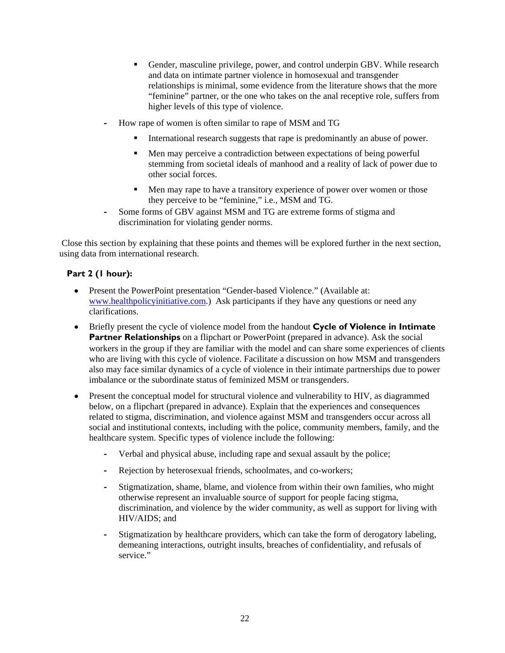- Gender, masculine privilege, power, and control underpin GBV. While research and data on intimate partner violence in homosexual and transgender relationships is minimal, some evidence from the literature shows that the more "feminine" partner, or the one who takes on the anal receptive role, suffers from higher levels of this type of violence.
- **‐** How rape of women is often similar to rape of MSM and TG
	- International research suggests that rape is predominantly an abuse of power.
	- Men may perceive a contradiction between expectations of being powerful stemming from societal ideals of manhood and a reality of lack of power due to other social forces.
	- Men may rape to have a transitory experience of power over women or those they perceive to be "feminine," i.e., MSM and TG.
- **‐** Some forms of GBV against MSM and TG are extreme forms of stigma and discrimination for violating gender norms.

 Close this section by explaining that these points and themes will be explored further in the next section, using data from international research.

#### **Part 2 (1 hour):**

- Present the PowerPoint presentation "Gender-based Violence." (Available at: [www.healthpolicyinitiative.com.](http://www.healthpolicyinitiative.com/)) Ask participants if they have any questions or need any clarifications.
- Briefly present the cycle of violence model from the handout **Cycle of Violence in Intimate Partner Relationships** on a flipchart or PowerPoint (prepared in advance). Ask the social workers in the group if they are familiar with the model and can share some experiences of clients who are living with this cycle of violence. Facilitate a discussion on how MSM and transgenders also may face similar dynamics of a cycle of violence in their intimate partnerships due to power imbalance or the subordinate status of feminized MSM or transgenders.
- Present the conceptual model for structural violence and vulnerability to HIV, as diagrammed below, on a flipchart (prepared in advance). Explain that the experiences and consequences related to stigma, discrimination, and violence against MSM and transgenders occur across all social and institutional contexts, including with the police, community members, family, and the healthcare system. Specific types of violence include the following:
	- **‐** Verbal and physical abuse, including rape and sexual assault by the police;
	- **‐** Rejection by heterosexual friends, schoolmates, and co-workers;
	- **‐** Stigmatization, shame, blame, and violence from within their own families, who might otherwise represent an invaluable source of support for people facing stigma, discrimination, and violence by the wider community, as well as support for living with HIV/AIDS; and
	- **‐** Stigmatization by healthcare providers, which can take the form of derogatory labeling, demeaning interactions, outright insults, breaches of confidentiality, and refusals of service."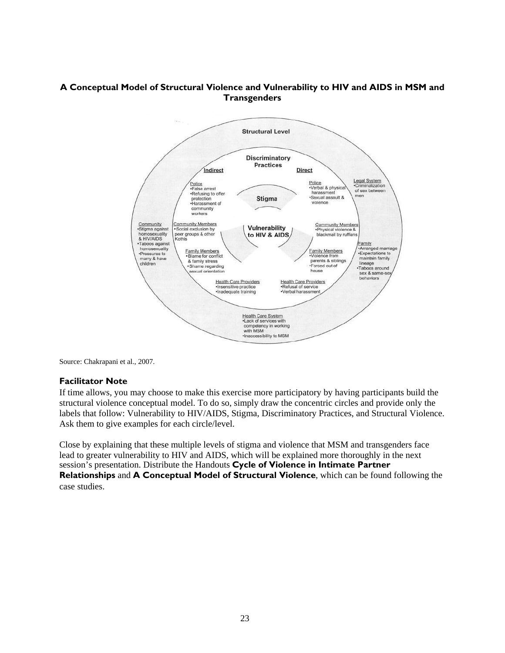### **A Conceptual Model of Structural Violence and Vulnerability to HIV and AIDS in MSM and Transgenders**



Source: Chakrapani et al., 2007.

#### **Facilitator Note**

If time allows, you may choose to make this exercise more participatory by having participants build the structural violence conceptual model. To do so, simply draw the concentric circles and provide only the labels that follow: Vulnerability to HIV/AIDS, Stigma, Discriminatory Practices, and Structural Violence. Ask them to give examples for each circle/level.

Close by explaining that these multiple levels of stigma and violence that MSM and transgenders face lead to greater vulnerability to HIV and AIDS, which will be explained more thoroughly in the next session's presentation. Distribute the Handouts **Cycle of Violence in Intimate Partner Relationships** and **A Conceptual Model of Structural Violence**, which can be found following the case studies.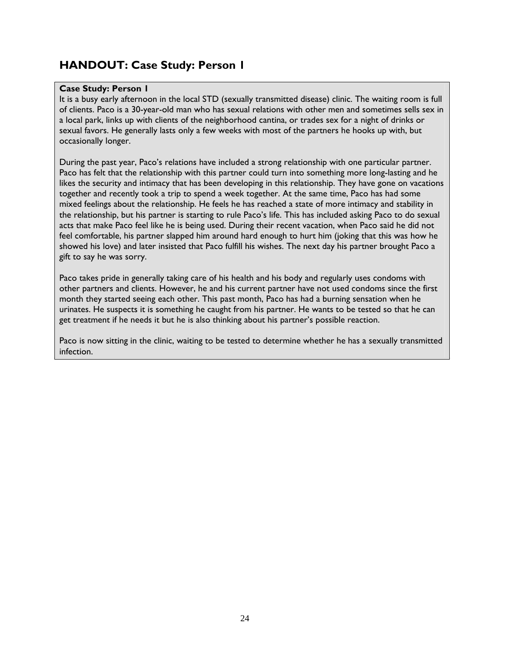### <span id="page-31-0"></span>**HANDOUT: Case Study: Person 1**

#### **Case Study: Person 1**

It is a busy early afternoon in the local STD (sexually transmitted disease) clinic. The waiting room is full of clients. Paco is a 30-year-old man who has sexual relations with other men and sometimes sells sex in a local park, links up with clients of the neighborhood cantina, or trades sex for a night of drinks or sexual favors. He generally lasts only a few weeks with most of the partners he hooks up with, but occasionally longer.

During the past year, Paco's relations have included a strong relationship with one particular partner. Paco has felt that the relationship with this partner could turn into something more long-lasting and he likes the security and intimacy that has been developing in this relationship. They have gone on vacations together and recently took a trip to spend a week together. At the same time, Paco has had some mixed feelings about the relationship. He feels he has reached a state of more intimacy and stability in the relationship, but his partner is starting to rule Paco's life. This has included asking Paco to do sexual acts that make Paco feel like he is being used. During their recent vacation, when Paco said he did not feel comfortable, his partner slapped him around hard enough to hurt him (joking that this was how he showed his love) and later insisted that Paco fulfill his wishes. The next day his partner brought Paco a gift to say he was sorry.

Paco takes pride in generally taking care of his health and his body and regularly uses condoms with other partners and clients. However, he and his current partner have not used condoms since the first month they started seeing each other. This past month, Paco has had a burning sensation when he urinates. He suspects it is something he caught from his partner. He wants to be tested so that he can get treatment if he needs it but he is also thinking about his partner's possible reaction.

Paco is now sitting in the clinic, waiting to be tested to determine whether he has a sexually transmitted infection.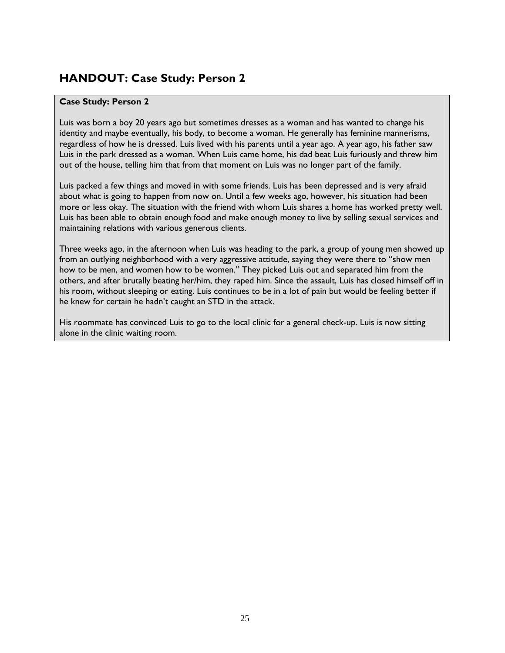### <span id="page-32-0"></span>**HANDOUT: Case Study: Person 2**

### **Case Study: Person 2**

Luis was born a boy 20 years ago but sometimes dresses as a woman and has wanted to change his identity and maybe eventually, his body, to become a woman. He generally has feminine mannerisms, regardless of how he is dressed. Luis lived with his parents until a year ago. A year ago, his father saw Luis in the park dressed as a woman. When Luis came home, his dad beat Luis furiously and threw him out of the house, telling him that from that moment on Luis was no longer part of the family.

Luis packed a few things and moved in with some friends. Luis has been depressed and is very afraid about what is going to happen from now on. Until a few weeks ago, however, his situation had been more or less okay. The situation with the friend with whom Luis shares a home has worked pretty well. Luis has been able to obtain enough food and make enough money to live by selling sexual services and maintaining relations with various generous clients.

Three weeks ago, in the afternoon when Luis was heading to the park, a group of young men showed up from an outlying neighborhood with a very aggressive attitude, saying they were there to "show men how to be men, and women how to be women." They picked Luis out and separated him from the others, and after brutally beating her/him, they raped him. Since the assault, Luis has closed himself off in his room, without sleeping or eating. Luis continues to be in a lot of pain but would be feeling better if he knew for certain he hadn't caught an STD in the attack.

His roommate has convinced Luis to go to the local clinic for a general check-up. Luis is now sitting alone in the clinic waiting room.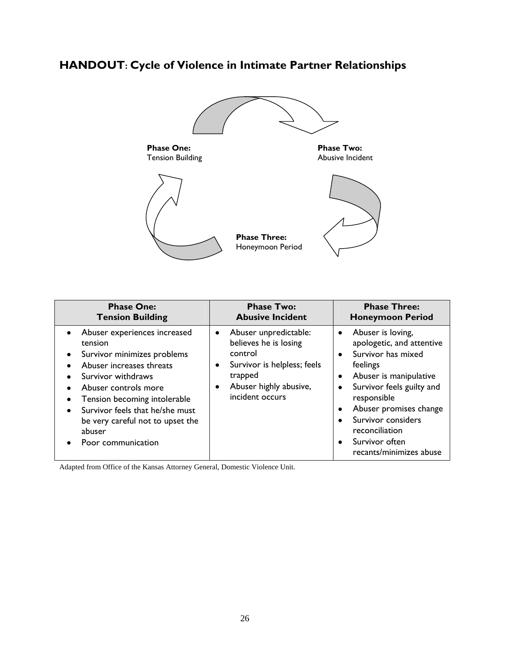# <span id="page-33-0"></span>**HANDOUT: Cycle of Violence in Intimate Partner Relationships**



| <b>Phase One:</b>                                                                                                                                                                                                                                                                         | <b>Phase Two:</b>                                                                                                                                | <b>Phase Three:</b>                                                                                                                                                                                                                                                                                               |
|-------------------------------------------------------------------------------------------------------------------------------------------------------------------------------------------------------------------------------------------------------------------------------------------|--------------------------------------------------------------------------------------------------------------------------------------------------|-------------------------------------------------------------------------------------------------------------------------------------------------------------------------------------------------------------------------------------------------------------------------------------------------------------------|
| <b>Tension Building</b>                                                                                                                                                                                                                                                                   | <b>Abusive Incident</b>                                                                                                                          | <b>Honeymoon Period</b>                                                                                                                                                                                                                                                                                           |
| • Abuser experiences increased<br>tension<br>Survivor minimizes problems<br>Abuser increases threats<br>Survivor withdraws<br>Abuser controls more<br>Tension becoming intolerable<br>Survivor feels that he/she must<br>be very careful not to upset the<br>abuser<br>Poor communication | Abuser unpredictable:<br>believes he is losing<br>control<br>Survivor is helpless; feels<br>trapped<br>Abuser highly abusive,<br>incident occurs | Abuser is loving,<br>$\bullet$<br>apologetic, and attentive<br>Survivor has mixed<br>$\bullet$<br>feelings<br>Abuser is manipulative<br>٠<br>Survivor feels guilty and<br>responsible<br>Abuser promises change<br>$\bullet$<br>Survivor considers<br>reconciliation<br>Survivor often<br>recants/minimizes abuse |

Adapted from Office of the Kansas Attorney General, Domestic Violence Unit.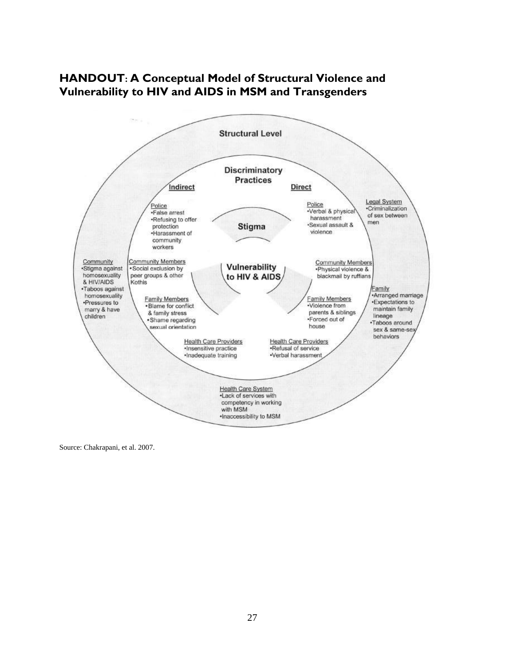

### <span id="page-34-0"></span>**HANDOUT: A Conceptual Model of Structural Violence and Vulnerability to HIV and AIDS in MSM and Transgenders**

Source: Chakrapani, et al. 2007.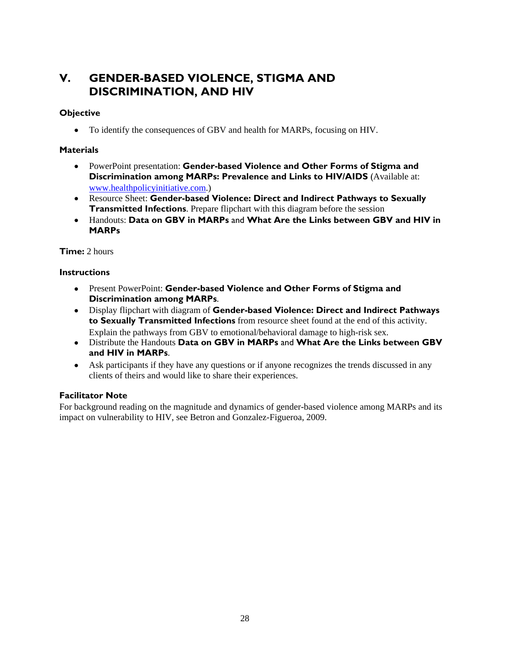### <span id="page-35-0"></span>**V. GENDER-BASED VIOLENCE, STIGMA AND DISCRIMINATION, AND HIV**

### **Objective**

• To identify the consequences of GBV and health for MARPs, focusing on HIV.

### **Materials**

- PowerPoint presentation: **Gender-based Violence and Other Forms of Stigma and Discrimination among MARPs: Prevalence and Links to HIV/AIDS** (Available at: [www.healthpolicyinitiative.com.](http://www.healthpolicyinitiative.com/))
- Resource Sheet: **Gender-based Violence: Direct and Indirect Pathways to Sexually Transmitted Infections**. Prepare flipchart with this diagram before the session
- Handouts: **Data on GBV in MARPs** and **What Are the Links between GBV and HIV in MARPs**

### **Time:** 2 hours

### **Instructions**

- Present PowerPoint: **Gender-based Violence and Other Forms of Stigma and Discrimination among MARPs**.
- Display flipchart with diagram of **Gender-based Violence: Direct and Indirect Pathways to Sexually Transmitted Infections** from resource sheet found at the end of this activity. Explain the pathways from GBV to emotional/behavioral damage to high-risk sex.
- Distribute the Handouts **Data on GBV in MARPs** and **What Are the Links between GBV and HIV in MARPs**.
- Ask participants if they have any questions or if anyone recognizes the trends discussed in any clients of theirs and would like to share their experiences.

### **Facilitator Note**

For background reading on the magnitude and dynamics of gender-based violence among MARPs and its impact on vulnerability to HIV, see Betron and Gonzalez-Figueroa, 2009.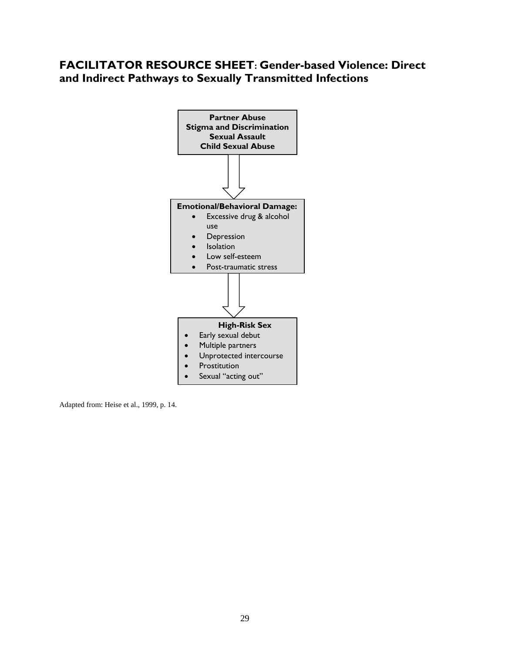## **FACILITATOR RESOURCE SHEET: Gender-based Violence: Direct and Indirect Pathways to Sexually Transmitted Infections**



Adapted from: Heise et al., 1999, p. 14.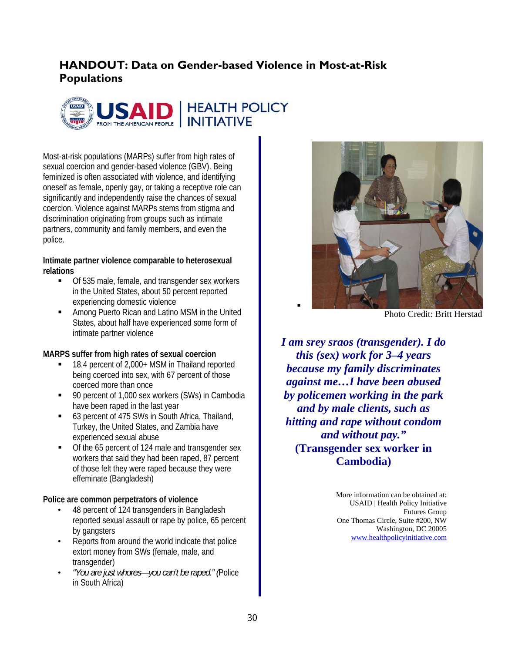# **HANDOUT: Data on Gender-based Violence in Most-at-Risk Populations**



Most-at-risk populations (MARPs) suffer from high rates of sexual coercion and gender-based violence (GBV). Being feminized is often associated with violence, and identifying oneself as female, openly gay, or taking a receptive role can significantly and independently raise the chances of sexual coercion. Violence against MARPs stems from stigma and discrimination originating from groups such as intimate partners, community and family members, and even the police.

### **Intimate partner violence comparable to heterosexual relations**

- Of 535 male, female, and transgender sex workers in the United States, about 50 percent reported experiencing domestic violence
- **EXECUTE:** Among Puerto Rican and Latino MSM in the United States, about half have experienced some form of intimate partner violence

### **MARPS suffer from high rates of sexual coercion**

- 18.4 percent of 2,000+ MSM in Thailand reported being coerced into sex, with 67 percent of those coerced more than once
- 90 percent of 1,000 sex workers (SWs) in Cambodia have been raped in the last year
- 63 percent of 475 SWs in South Africa, Thailand, Turkey, the United States, and Zambia have experienced sexual abuse
- Of the 65 percent of 124 male and transgender sex workers that said they had been raped, 87 percent of those felt they were raped because they were effeminate (Bangladesh)

### **Police are common perpetrators of violence**

- 48 percent of 124 transgenders in Bangladesh reported sexual assault or rape by police, 65 percent by gangsters
- Reports from around the world indicate that police extort money from SWs (female, male, and transgender)
- *"You are just whores—you can't be raped." (*Police in South Africa)



Photo Credit: Britt Herstad

*I am srey sraos (transgender). I do this (sex) work for 3–4 years because my family discriminates against me…I have been abused by policemen working in the park and by male clients, such as hitting and rape without condom and without pay."*  **(Transgender sex worker in Cambodia)** 

> More information can be obtained at: USAID | Health Policy Initiative Futures Group One Thomas Circle, Suite #200, NW Washington, DC 20005 [www.healthpolicyinitiative.com](http://www.healthpolicyinitiative.com/)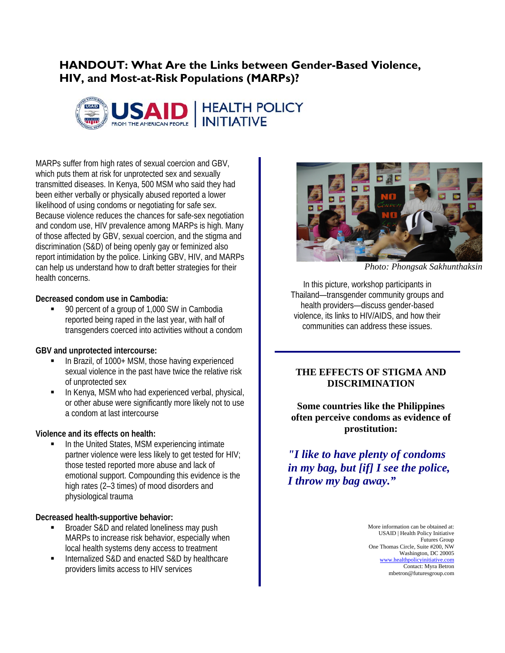## **HANDOUT: What Are the Links between Gender-Based Violence, HIV, and Most-at-Risk Populations (MARPs)?**



MARPs suffer from high rates of sexual coercion and GBV, which puts them at risk for unprotected sex and sexually transmitted diseases. In Kenya, 500 MSM who said they had been either verbally or physically abused reported a lower likelihood of using condoms or negotiating for safe sex. Because violence reduces the chances for safe-sex negotiation and condom use, HIV prevalence among MARPs is high. Many of those affected by GBV, sexual coercion, and the stigma and discrimination (S&D) of being openly gay or feminized also report intimidation by the police. Linking GBV, HIV, and MARPs can help us understand how to draft better strategies for their health concerns.

### **Decreased condom use in Cambodia:**

■ 90 percent of a group of 1,000 SW in Cambodia reported being raped in the last year, with half of transgenders coerced into activities without a condom

### **GBV and unprotected intercourse:**

- In Brazil, of 1000+ MSM, those having experienced sexual violence in the past have twice the relative risk of unprotected sex
- In Kenya, MSM who had experienced verbal, physical, or other abuse were significantly more likely not to use a condom at last intercourse

### **Violence and its effects on health:**

 In the United States, MSM experiencing intimate partner violence were less likely to get tested for HIV; those tested reported more abuse and lack of emotional support. Compounding this evidence is the high rates (2–3 times) of mood disorders and physiological trauma

### **Decreased health-supportive behavior:**

- **Broader S&D and related loneliness may push** MARPs to increase risk behavior, especially when local health systems deny access to treatment
- Internalized S&D and enacted S&D by healthcare providers limits access to HIV services



*Photo: Phongsak Sakhunthaksin* 

In this picture, workshop participants in Thailand—transgender community groups and health providers—discuss gender-based violence, its links to HIV/AIDS, and how their communities can address these issues.

### **THE EFFECTS OF STIGMA AND DISCRIMINATION**

**Some countries like the Philippines often perceive condoms as evidence of prostitution:** 

*"I like to have plenty of condoms in my bag, but [if] I see the police, I throw my bag away."*

> More information can be obtained at: USAID | Health Policy Initiative Futures Group One Thomas Circle, Suite #200, NW Washington, DC 20005 [www.healthpolicyinitiative.com](http://www.healthpolicyinitiative.com/)  Contact: Myra Betron mbetron@futuresgroup.com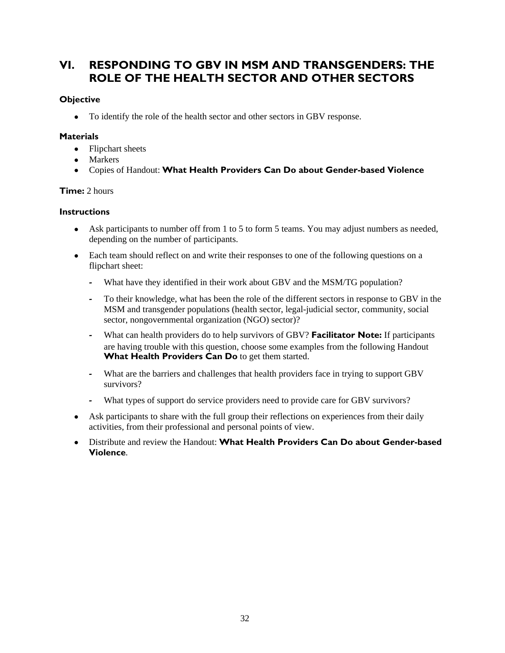## **VI. RESPONDING TO GBV IN MSM AND TRANSGENDERS: THE ROLE OF THE HEALTH SECTOR AND OTHER SECTORS**

### **Objective**

To identify the role of the health sector and other sectors in GBV response.

### **Materials**

- Flipchart sheets
- Markers
- Copies of Handout: **What Health Providers Can Do about Gender-based Violence**

### **Time:** 2 hours

### **Instructions**

- Ask participants to number off from 1 to 5 to form 5 teams. You may adjust numbers as needed, depending on the number of participants.
- Each team should reflect on and write their responses to one of the following questions on a flipchart sheet:
	- **‐** What have they identified in their work about GBV and the MSM/TG population?
	- **‐** To their knowledge, what has been the role of the different sectors in response to GBV in the MSM and transgender populations (health sector, legal-judicial sector, community, social sector, nongovernmental organization (NGO) sector)?
	- **‐** What can health providers do to help survivors of GBV? **Facilitator Note:** If participants are having trouble with this question, choose some examples from the following Handout What Health Providers Can Do to get them started.
	- **‐** What are the barriers and challenges that health providers face in trying to support GBV survivors?
	- What types of support do service providers need to provide care for GBV survivors?
- Ask participants to share with the full group their reflections on experiences from their daily activities, from their professional and personal points of view.
- Distribute and review the Handout: **What Health Providers Can Do about Gender-based Violence**.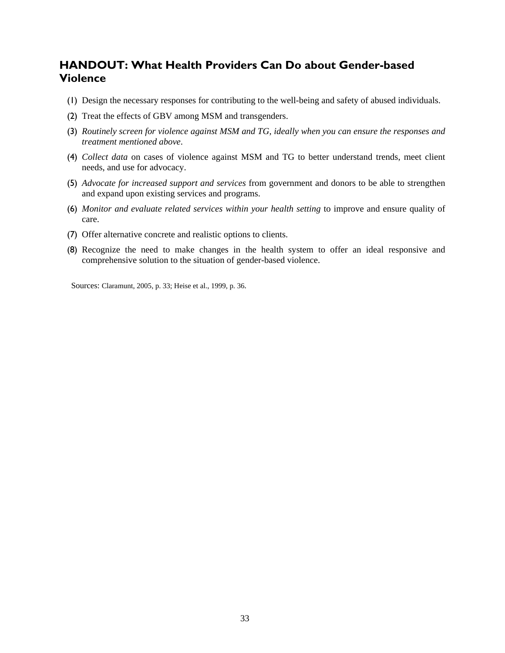### **HANDOUT: What Health Providers Can Do about Gender-based Violence**

- (1) Design the necessary responses for contributing to the well-being and safety of abused individuals.
- (2) Treat the effects of GBV among MSM and transgenders.
- (3) *Routinely screen for violence against MSM and TG, ideally when you can ensure the responses and treatment mentioned above*.
- (4) *Collect data* on cases of violence against MSM and TG to better understand trends, meet client needs, and use for advocacy.
- (5) *Advocate for increased support and services* from government and donors to be able to strengthen and expand upon existing services and programs.
- (6) *Monitor and evaluate related services within your health setting* to improve and ensure quality of care.
- (7) Offer alternative concrete and realistic options to clients.
- (8) Recognize the need to make changes in the health system to offer an ideal responsive and comprehensive solution to the situation of gender-based violence.

Sources: Claramunt, 2005, p. 33; Heise et al., 1999, p. 36.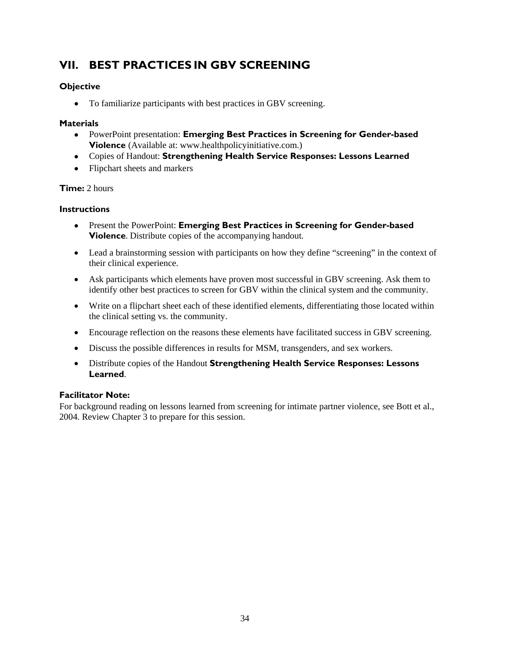# **VII. BEST PRACTICES IN GBV SCREENING**

### **Objective**

To familiarize participants with best practices in GBV screening.

### **Materials**

- PowerPoint presentation: **Emerging Best Practices in Screening for Gender-based Violence** (Available at: www.healthpolicyinitiative.com.)
- Copies of Handout: **Strengthening Health Service Responses: Lessons Learned**
- Flipchart sheets and markers

### **Time:** 2 hours

### **Instructions**

- Present the PowerPoint: **Emerging Best Practices in Screening for Gender-based Violence**. Distribute copies of the accompanying handout.
- Lead a brainstorming session with participants on how they define "screening" in the context of their clinical experience.
- Ask participants which elements have proven most successful in GBV screening. Ask them to identify other best practices to screen for GBV within the clinical system and the community.
- Write on a flipchart sheet each of these identified elements, differentiating those located within the clinical setting vs. the community.
- Encourage reflection on the reasons these elements have facilitated success in GBV screening.
- Discuss the possible differences in results for MSM, transgenders, and sex workers.
- Distribute copies of the Handout **Strengthening Health Service Responses: Lessons Learned**.

### **Facilitator Note:**

For background reading on lessons learned from screening for intimate partner violence, see Bott et al., 2004. Review Chapter 3 to prepare for this session.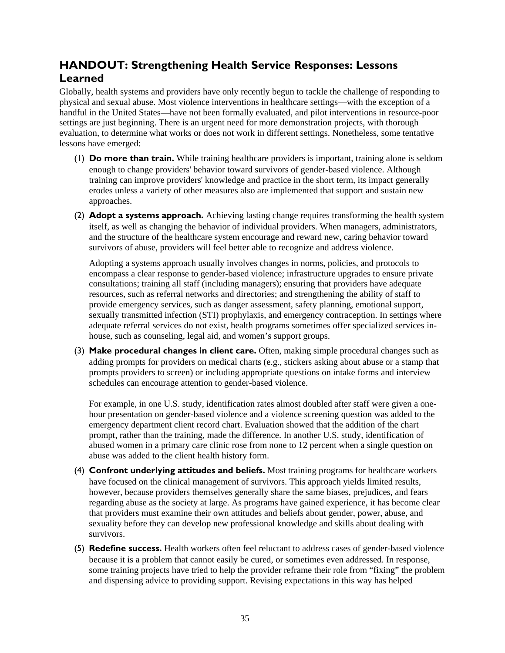# **HANDOUT: Strengthening Health Service Responses: Lessons Learned**

Globally, health systems and providers have only recently begun to tackle the challenge of responding to physical and sexual abuse. Most violence interventions in healthcare settings—with the exception of a handful in the United States—have not been formally evaluated, and pilot interventions in resource-poor settings are just beginning. There is an urgent need for more demonstration projects, with thorough evaluation, to determine what works or does not work in different settings. Nonetheless, some tentative lessons have emerged:

- (1) **Do more than train.** While training healthcare providers is important, training alone is seldom enough to change providers' behavior toward survivors of gender-based violence. Although training can improve providers' knowledge and practice in the short term, its impact generally erodes unless a variety of other measures also are implemented that support and sustain new approaches.
- (2) **Adopt a systems approach.** Achieving lasting change requires transforming the health system itself, as well as changing the behavior of individual providers. When managers, administrators, and the structure of the healthcare system encourage and reward new, caring behavior toward survivors of abuse, providers will feel better able to recognize and address violence.

Adopting a systems approach usually involves changes in norms, policies, and protocols to encompass a clear response to gender-based violence; infrastructure upgrades to ensure private consultations; training all staff (including managers); ensuring that providers have adequate resources, such as referral networks and directories; and strengthening the ability of staff to provide emergency services, such as danger assessment, safety planning, emotional support, sexually transmitted infection (STI) prophylaxis, and emergency contraception. In settings where adequate referral services do not exist, health programs sometimes offer specialized services inhouse, such as counseling, legal aid, and women's support groups.

(3) **Make procedural changes in client care.** Often, making simple procedural changes such as adding prompts for providers on medical charts (e.g., stickers asking about abuse or a stamp that prompts providers to screen) or including appropriate questions on intake forms and interview schedules can encourage attention to gender-based violence.

For example, in one U.S. study, identification rates almost doubled after staff were given a onehour presentation on gender-based violence and a violence screening question was added to the emergency department client record chart. Evaluation showed that the addition of the chart prompt, rather than the training, made the difference. In another U.S. study, identification of abused women in a primary care clinic rose from none to 12 percent when a single question on abuse was added to the client health history form.

- (4) **Confront underlying attitudes and beliefs.** Most training programs for healthcare workers have focused on the clinical management of survivors. This approach yields limited results, however, because providers themselves generally share the same biases, prejudices, and fears regarding abuse as the society at large. As programs have gained experience, it has become clear that providers must examine their own attitudes and beliefs about gender, power, abuse, and sexuality before they can develop new professional knowledge and skills about dealing with survivors.
- (5) **Redefine success.** Health workers often feel reluctant to address cases of gender-based violence because it is a problem that cannot easily be cured, or sometimes even addressed. In response, some training projects have tried to help the provider reframe their role from "fixing" the problem and dispensing advice to providing support. Revising expectations in this way has helped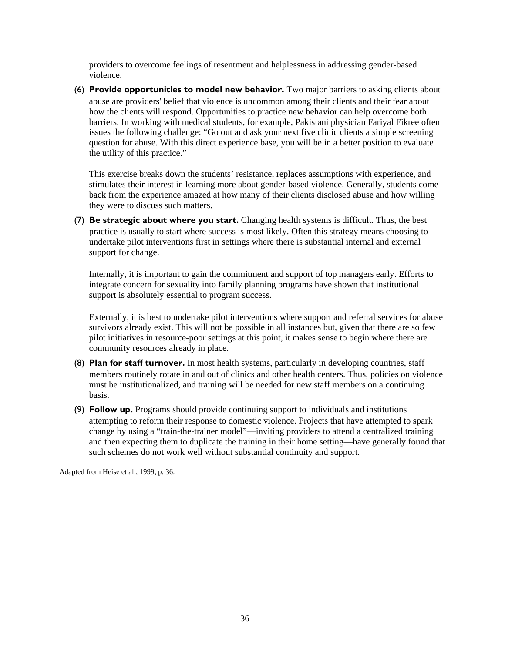providers to overcome feelings of resentment and helplessness in addressing gender-based violence.

(6) **Provide opportunities to model new behavior.** Two major barriers to asking clients about abuse are providers' belief that violence is uncommon among their clients and their fear about how the clients will respond. Opportunities to practice new behavior can help overcome both barriers. In working with medical students, for example, Pakistani physician Fariyal Fikree often issues the following challenge: "Go out and ask your next five clinic clients a simple screening question for abuse. With this direct experience base, you will be in a better position to evaluate the utility of this practice."

This exercise breaks down the students' resistance, replaces assumptions with experience, and stimulates their interest in learning more about gender-based violence. Generally, students come back from the experience amazed at how many of their clients disclosed abuse and how willing they were to discuss such matters.

(7) **Be strategic about where you start.** Changing health systems is difficult. Thus, the best practice is usually to start where success is most likely. Often this strategy means choosing to undertake pilot interventions first in settings where there is substantial internal and external support for change.

Internally, it is important to gain the commitment and support of top managers early. Efforts to integrate concern for sexuality into family planning programs have shown that institutional support is absolutely essential to program success.

Externally, it is best to undertake pilot interventions where support and referral services for abuse survivors already exist. This will not be possible in all instances but, given that there are so few pilot initiatives in resource-poor settings at this point, it makes sense to begin where there are community resources already in place.

- (8) **Plan for staff turnover.** In most health systems, particularly in developing countries, staff members routinely rotate in and out of clinics and other health centers. Thus, policies on violence must be institutionalized, and training will be needed for new staff members on a continuing basis.
- (9) **Follow up.** Programs should provide continuing support to individuals and institutions attempting to reform their response to domestic violence. Projects that have attempted to spark change by using a "train-the-trainer model"—inviting providers to attend a centralized training and then expecting them to duplicate the training in their home setting—have generally found that such schemes do not work well without substantial continuity and support.

Adapted from Heise et al., 1999, p. 36.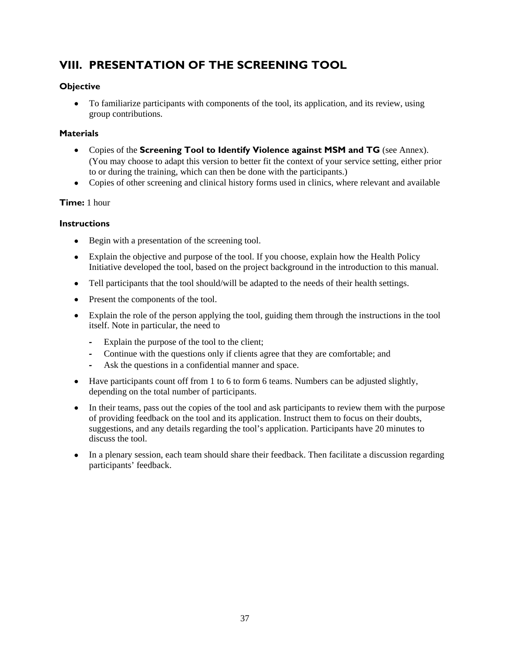# **VIII. PRESENTATION OF THE SCREENING TOOL**

### **Objective**

 To familiarize participants with components of the tool, its application, and its review, using group contributions.

### **Materials**

- Copies of the **Screening Tool to Identify Violence against MSM and TG** (see Annex). (You may choose to adapt this version to better fit the context of your service setting, either prior to or during the training, which can then be done with the participants.)
- Copies of other screening and clinical history forms used in clinics, where relevant and available

### **Time:** 1 hour

### **Instructions**

- Begin with a presentation of the screening tool.
- Explain the objective and purpose of the tool. If you choose, explain how the Health Policy Initiative developed the tool, based on the project background in the introduction to this manual.
- Tell participants that the tool should/will be adapted to the needs of their health settings.
- Present the components of the tool.
- Explain the role of the person applying the tool, guiding them through the instructions in the tool itself. Note in particular, the need to
	- **‐** Explain the purpose of the tool to the client;
	- **‐** Continue with the questions only if clients agree that they are comfortable; and
	- Ask the questions in a confidential manner and space.
- Have participants count off from 1 to 6 to form 6 teams. Numbers can be adjusted slightly, depending on the total number of participants.
- In their teams, pass out the copies of the tool and ask participants to review them with the purpose of providing feedback on the tool and its application. Instruct them to focus on their doubts, suggestions, and any details regarding the tool's application. Participants have 20 minutes to discuss the tool.
- In a plenary session, each team should share their feedback. Then facilitate a discussion regarding participants' feedback.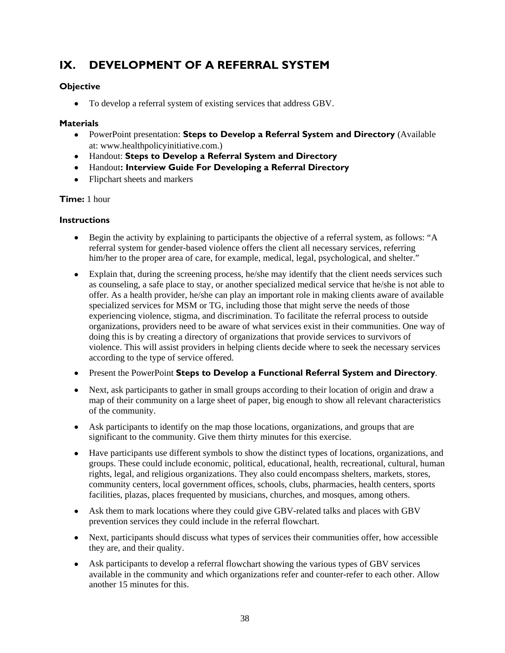# **IX. DEVELOPMENT OF A REFERRAL SYSTEM**

### **Objective**

To develop a referral system of existing services that address GBV.

### **Materials**

- PowerPoint presentation: **Steps to Develop a Referral System and Directory** (Available at: www.healthpolicyinitiative.com.)
- Handout: **Steps to Develop a Referral System and Directory**
- Handout**: Interview Guide For Developing a Referral Directory**
- Flipchart sheets and markers

### **Time:** 1 hour

### **Instructions**

- Begin the activity by explaining to participants the objective of a referral system, as follows: "A referral system for gender-based violence offers the client all necessary services, referring him/her to the proper area of care, for example, medical, legal, psychological, and shelter."
- Explain that, during the screening process, he/she may identify that the client needs services such as counseling, a safe place to stay, or another specialized medical service that he/she is not able to offer. As a health provider, he/she can play an important role in making clients aware of available specialized services for MSM or TG, including those that might serve the needs of those experiencing violence, stigma, and discrimination. To facilitate the referral process to outside organizations, providers need to be aware of what services exist in their communities. One way of doing this is by creating a directory of organizations that provide services to survivors of violence. This will assist providers in helping clients decide where to seek the necessary services according to the type of service offered.
- Present the PowerPoint **Steps to Develop a Functional Referral System and Directory**.
- Next, ask participants to gather in small groups according to their location of origin and draw a map of their community on a large sheet of paper, big enough to show all relevant characteristics of the community.
- Ask participants to identify on the map those locations, organizations, and groups that are significant to the community. Give them thirty minutes for this exercise.
- Have participants use different symbols to show the distinct types of locations, organizations, and groups. These could include economic, political, educational, health, recreational, cultural, human rights, legal, and religious organizations. They also could encompass shelters, markets, stores, community centers, local government offices, schools, clubs, pharmacies, health centers, sports facilities, plazas, places frequented by musicians, churches, and mosques, among others.
- Ask them to mark locations where they could give GBV-related talks and places with GBV prevention services they could include in the referral flowchart.
- Next, participants should discuss what types of services their communities offer, how accessible they are, and their quality.
- Ask participants to develop a referral flowchart showing the various types of GBV services available in the community and which organizations refer and counter-refer to each other. Allow another 15 minutes for this.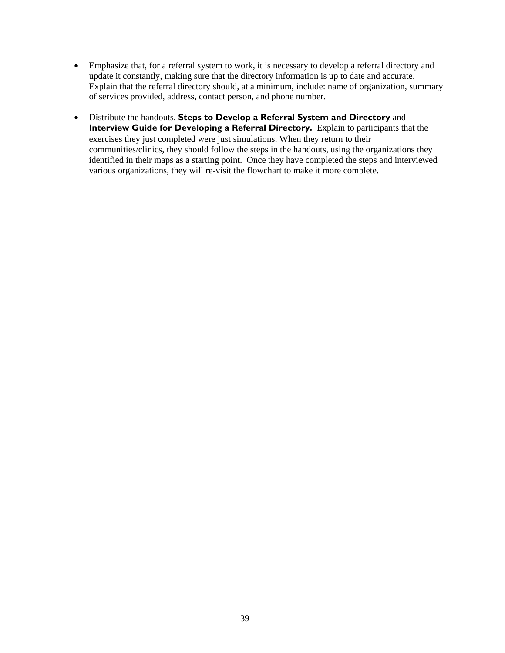- Emphasize that, for a referral system to work, it is necessary to develop a referral directory and update it constantly, making sure that the directory information is up to date and accurate. Explain that the referral directory should, at a minimum, include: name of organization, summary of services provided, address, contact person, and phone number.
- Distribute the handouts, **Steps to Develop a Referral System and Directory** and **Interview Guide for Developing a Referral Directory.** Explain to participants that the exercises they just completed were just simulations. When they return to their communities/clinics, they should follow the steps in the handouts, using the organizations they identified in their maps as a starting point. Once they have completed the steps and interviewed various organizations, they will re-visit the flowchart to make it more complete.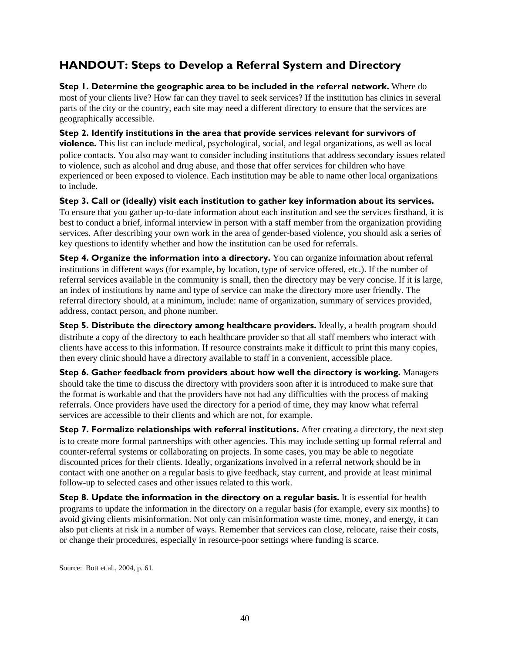# **HANDOUT: Steps to Develop a Referral System and Directory**

**Step 1. Determine the geographic area to be included in the referral network.** Where do most of your clients live? How far can they travel to seek services? If the institution has clinics in several parts of the city or the country, each site may need a different directory to ensure that the services are geographically accessible.

**Step 2. Identify institutions in the area that provide services relevant for survivors of violence.** This list can include medical, psychological, social, and legal organizations, as well as local police contacts. You also may want to consider including institutions that address secondary issues related to violence, such as alcohol and drug abuse, and those that offer services for children who have experienced or been exposed to violence. Each institution may be able to name other local organizations to include.

**Step 3. Call or (ideally) visit each institution to gather key information about its services.** To ensure that you gather up-to-date information about each institution and see the services firsthand, it is best to conduct a brief, informal interview in person with a staff member from the organization providing services. After describing your own work in the area of gender-based violence, you should ask a series of key questions to identify whether and how the institution can be used for referrals.

**Step 4. Organize the information into a directory.** You can organize information about referral institutions in different ways (for example, by location, type of service offered, etc.). If the number of referral services available in the community is small, then the directory may be very concise. If it is large, an index of institutions by name and type of service can make the directory more user friendly. The referral directory should, at a minimum, include: name of organization, summary of services provided, address, contact person, and phone number.

**Step 5. Distribute the directory among healthcare providers.** Ideally, a health program should distribute a copy of the directory to each healthcare provider so that all staff members who interact with clients have access to this information. If resource constraints make it difficult to print this many copies, then every clinic should have a directory available to staff in a convenient, accessible place.

**Step 6. Gather feedback from providers about how well the directory is working.** Managers should take the time to discuss the directory with providers soon after it is introduced to make sure that the format is workable and that the providers have not had any difficulties with the process of making referrals. Once providers have used the directory for a period of time, they may know what referral services are accessible to their clients and which are not, for example.

**Step 7. Formalize relationships with referral institutions.** After creating a directory, the next step is to create more formal partnerships with other agencies. This may include setting up formal referral and counter-referral systems or collaborating on projects. In some cases, you may be able to negotiate discounted prices for their clients. Ideally, organizations involved in a referral network should be in contact with one another on a regular basis to give feedback, stay current, and provide at least minimal follow-up to selected cases and other issues related to this work.

**Step 8. Update the information in the directory on a regular basis.** It is essential for health programs to update the information in the directory on a regular basis (for example, every six months) to avoid giving clients misinformation. Not only can misinformation waste time, money, and energy, it can also put clients at risk in a number of ways. Remember that services can close, relocate, raise their costs, or change their procedures, especially in resource-poor settings where funding is scarce.

Source: Bott et al., 2004, p. 61.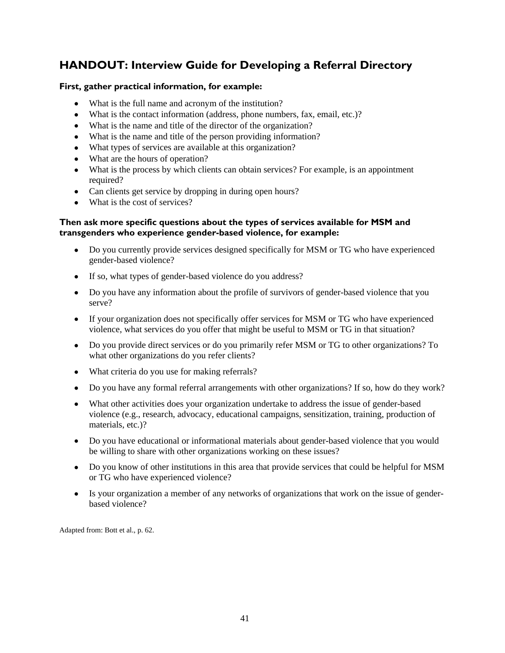## **HANDOUT: Interview Guide for Developing a Referral Directory**

### **First, gather practical information, for example:**

- What is the full name and acronym of the institution?
- What is the contact information (address, phone numbers, fax, email, etc.)?
- What is the name and title of the director of the organization?
- What is the name and title of the person providing information?
- What types of services are available at this organization?
- What are the hours of operation?
- What is the process by which clients can obtain services? For example, is an appointment required?
- Can clients get service by dropping in during open hours?
- What is the cost of services?

### **Then ask more specific questions about the types of services available for MSM and transgenders who experience gender-based violence, for example:**

- Do you currently provide services designed specifically for MSM or TG who have experienced gender-based violence?
- If so, what types of gender-based violence do you address?
- Do you have any information about the profile of survivors of gender-based violence that you serve?
- If your organization does not specifically offer services for MSM or TG who have experienced violence, what services do you offer that might be useful to MSM or TG in that situation?
- Do you provide direct services or do you primarily refer MSM or TG to other organizations? To what other organizations do you refer clients?
- What criteria do you use for making referrals?
- Do you have any formal referral arrangements with other organizations? If so, how do they work?
- What other activities does your organization undertake to address the issue of gender-based violence (e.g., research, advocacy, educational campaigns, sensitization, training, production of materials, etc.)?
- Do you have educational or informational materials about gender-based violence that you would be willing to share with other organizations working on these issues?
- Do you know of other institutions in this area that provide services that could be helpful for MSM or TG who have experienced violence?
- Is your organization a member of any networks of organizations that work on the issue of genderbased violence?

Adapted from: Bott et al., p. 62.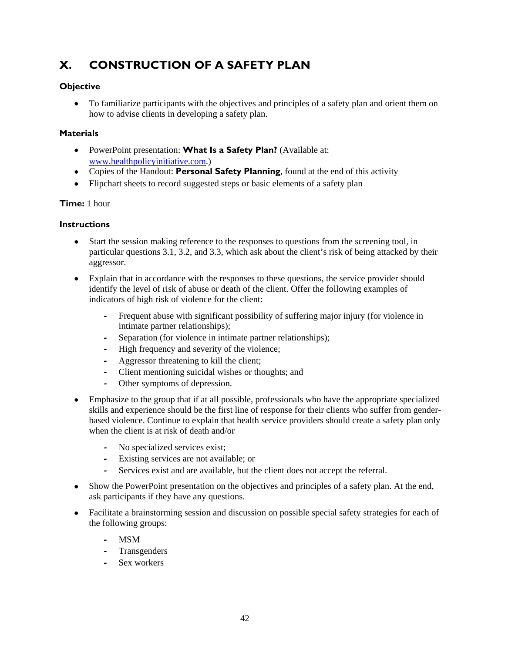# **X. CONSTRUCTION OF A SAFETY PLAN**

### **Objective**

 To familiarize participants with the objectives and principles of a safety plan and orient them on how to advise clients in developing a safety plan.

### **Materials**

- PowerPoint presentation: **What Is a Safety Plan?** (Available at: [www.healthpolicyinitiative.com.](http://www.healthpolicyinitiative.com/))
- Copies of the Handout: **Personal Safety Planning**, found at the end of this activity
- Flipchart sheets to record suggested steps or basic elements of a safety plan

### **Time:** 1 hour

### **Instructions**

- Start the session making reference to the responses to questions from the screening tool, in particular questions 3.1, 3.2, and 3.3, which ask about the client's risk of being attacked by their aggressor.
- Explain that in accordance with the responses to these questions, the service provider should identify the level of risk of abuse or death of the client. Offer the following examples of indicators of high risk of violence for the client:
	- **‐** Frequent abuse with significant possibility of suffering major injury (for violence in intimate partner relationships);
	- **‐** Separation (for violence in intimate partner relationships);
	- **‐** High frequency and severity of the violence;
	- **‐** Aggressor threatening to kill the client;
	- **‐** Client mentioning suicidal wishes or thoughts; and
	- Other symptoms of depression.
- Emphasize to the group that if at all possible, professionals who have the appropriate specialized skills and experience should be the first line of response for their clients who suffer from genderbased violence. Continue to explain that health service providers should create a safety plan only when the client is at risk of death and/or
	- **‐** No specialized services exist;
	- **‐** Existing services are not available; or
	- Services exist and are available, but the client does not accept the referral.
- Show the PowerPoint presentation on the objectives and principles of a safety plan. At the end, ask participants if they have any questions.
- Facilitate a brainstorming session and discussion on possible special safety strategies for each of the following groups:
	- **‐** MSM
	- **‐** Transgenders
	- **‐** Sex workers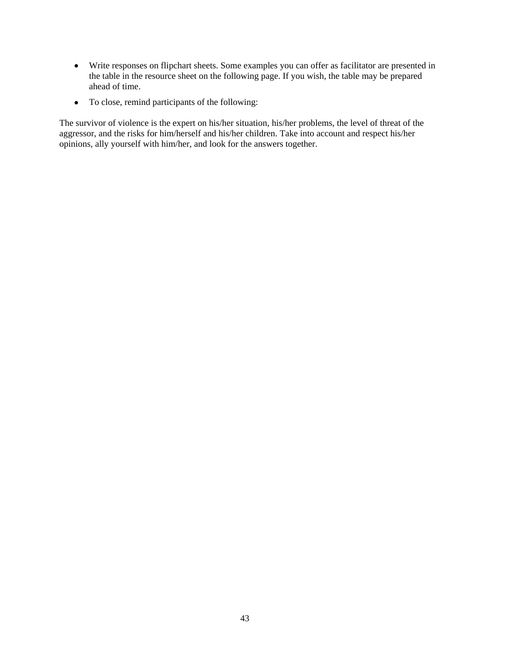- Write responses on flipchart sheets. Some examples you can offer as facilitator are presented in the table in the resource sheet on the following page. If you wish, the table may be prepared ahead of time.
- To close, remind participants of the following:

The survivor of violence is the expert on his/her situation, his/her problems, the level of threat of the aggressor, and the risks for him/herself and his/her children. Take into account and respect his/her opinions, ally yourself with him/her, and look for the answers together.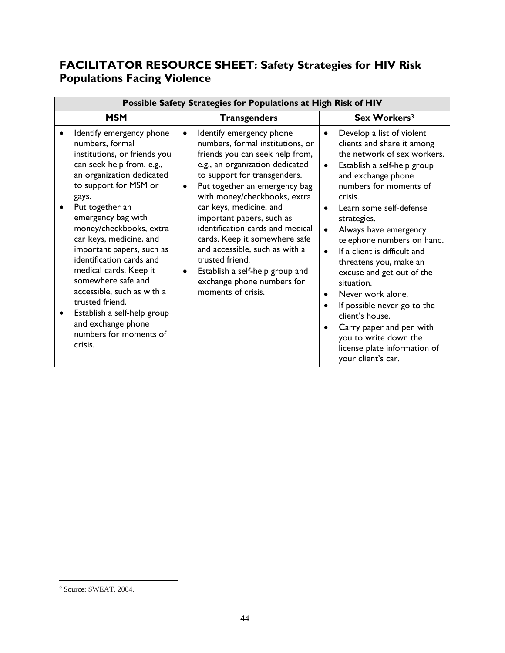# **FACILITATOR RESOURCE SHEET: Safety Strategies for HIV Risk Populations Facing Violence**

| Possible Safety Strategies for Populations at High Risk of HIV                                                                                                                                                                                                                                                                                                                                                                                                                                                                                                                                                                                                                                                                                                                                                                                                                                                                                                                                                                                                            |                                                                                                                                                                                                                                                                                                                                                                                                                                                                                                                                                                                                                                                                                  |  |  |  |  |
|---------------------------------------------------------------------------------------------------------------------------------------------------------------------------------------------------------------------------------------------------------------------------------------------------------------------------------------------------------------------------------------------------------------------------------------------------------------------------------------------------------------------------------------------------------------------------------------------------------------------------------------------------------------------------------------------------------------------------------------------------------------------------------------------------------------------------------------------------------------------------------------------------------------------------------------------------------------------------------------------------------------------------------------------------------------------------|----------------------------------------------------------------------------------------------------------------------------------------------------------------------------------------------------------------------------------------------------------------------------------------------------------------------------------------------------------------------------------------------------------------------------------------------------------------------------------------------------------------------------------------------------------------------------------------------------------------------------------------------------------------------------------|--|--|--|--|
| <b>MSM</b><br><b>Transgenders</b>                                                                                                                                                                                                                                                                                                                                                                                                                                                                                                                                                                                                                                                                                                                                                                                                                                                                                                                                                                                                                                         | Sex Workers <sup>3</sup>                                                                                                                                                                                                                                                                                                                                                                                                                                                                                                                                                                                                                                                         |  |  |  |  |
| Identify emergency phone<br>Identify emergency phone<br>$\bullet$<br>numbers, formal<br>numbers, formal institutions, or<br>friends you can seek help from,<br>institutions, or friends you<br>can seek help from, e.g.,<br>e.g., an organization dedicated<br>an organization dedicated<br>to support for transgenders.<br>to support for MSM or<br>Put together an emergency bag<br>$\bullet$<br>with money/checkbooks, extra<br>gays.<br>car keys, medicine, and<br>Put together an<br>emergency bag with<br>important papers, such as<br>identification cards and medical<br>money/checkbooks, extra<br>car keys, medicine, and<br>cards. Keep it somewhere safe<br>and accessible, such as with a<br>important papers, such as<br>identification cards and<br>trusted friend.<br>medical cards. Keep it<br>Establish a self-help group and<br>somewhere safe and<br>exchange phone numbers for<br>accessible, such as with a<br>moments of crisis.<br>trusted friend.<br>Establish a self-help group<br>٠<br>and exchange phone<br>numbers for moments of<br>crisis. | Develop a list of violent<br>$\bullet$<br>clients and share it among<br>the network of sex workers.<br>Establish a self-help group<br>$\bullet$<br>and exchange phone<br>numbers for moments of<br>crisis.<br>Learn some self-defense<br>$\bullet$<br>strategies.<br>Always have emergency<br>$\bullet$<br>telephone numbers on hand.<br>If a client is difficult and<br>$\bullet$<br>threatens you, make an<br>excuse and get out of the<br>situation.<br>Never work alone.<br>$\bullet$<br>If possible never go to the<br>$\bullet$<br>client's house.<br>Carry paper and pen with<br>$\bullet$<br>you to write down the<br>license plate information of<br>your client's car. |  |  |  |  |

<span id="page-51-0"></span><sup>&</sup>lt;sup>3</sup> Source: SWEAT, 2004.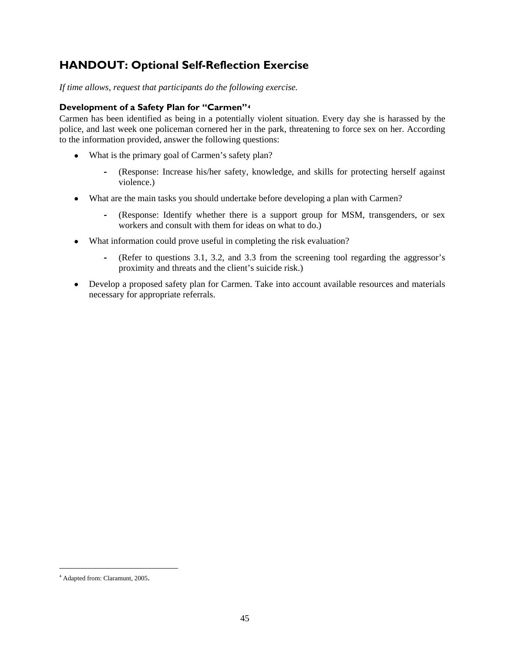# **HANDOUT: Optional Self-Reflection Exercise**

*If time allows, request that participants do the following exercise.* 

### **Development of a Safety Plan for "Carmen"[4](#page-52-0)**

Carmen has been identified as being in a potentially violent situation. Every day she is harassed by the police, and last week one policeman cornered her in the park, threatening to force sex on her. According to the information provided, answer the following questions:

- What is the primary goal of Carmen's safety plan?
	- **‐** (Response: Increase his/her safety, knowledge, and skills for protecting herself against violence.)
- What are the main tasks you should undertake before developing a plan with Carmen?
	- **‐** (Response: Identify whether there is a support group for MSM, transgenders, or sex workers and consult with them for ideas on what to do.)
- What information could prove useful in completing the risk evaluation?
	- **‐** (Refer to questions 3.1, 3.2, and 3.3 from the screening tool regarding the aggressor's proximity and threats and the client's suicide risk.)
- Develop a proposed safety plan for Carmen. Take into account available resources and materials necessary for appropriate referrals.

 $\overline{a}$ 

<span id="page-52-0"></span><sup>4</sup> Adapted from: Claramunt, 2005.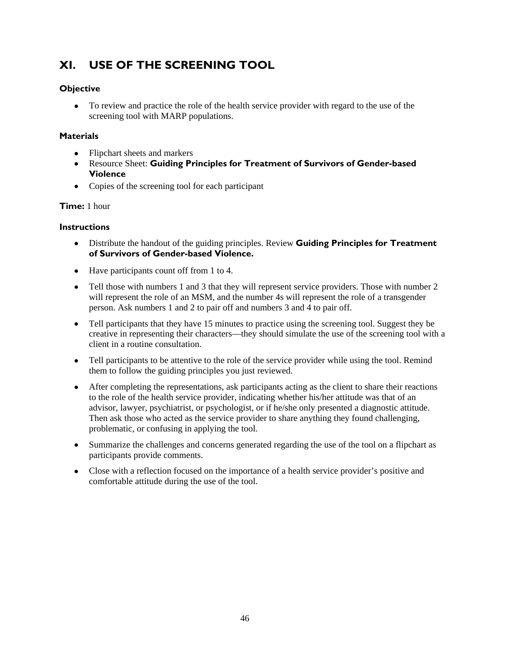# **XI. USE OF THE SCREENING TOOL**

### **Objective**

 To review and practice the role of the health service provider with regard to the use of the screening tool with MARP populations.

### **Materials**

- Flipchart sheets and markers
- Resource Sheet: **Guiding Principles for Treatment of Survivors of Gender-based Violence**
- Copies of the screening tool for each participant

### **Time:** 1 hour

### **Instructions**

- Distribute the handout of the guiding principles. Review **Guiding Principles for Treatment of Survivors of Gender-based Violence.**
- Have participants count off from 1 to 4.
- Tell those with numbers 1 and 3 that they will represent service providers. Those with number 2 will represent the role of an MSM, and the number 4s will represent the role of a transgender person. Ask numbers 1 and 2 to pair off and numbers 3 and 4 to pair off.
- Tell participants that they have 15 minutes to practice using the screening tool. Suggest they be creative in representing their characters—they should simulate the use of the screening tool with a client in a routine consultation.
- Tell participants to be attentive to the role of the service provider while using the tool. Remind them to follow the guiding principles you just reviewed.
- After completing the representations, ask participants acting as the client to share their reactions to the role of the health service provider, indicating whether his/her attitude was that of an advisor, lawyer, psychiatrist, or psychologist, or if he/she only presented a diagnostic attitude. Then ask those who acted as the service provider to share anything they found challenging, problematic, or confusing in applying the tool.
- Summarize the challenges and concerns generated regarding the use of the tool on a flipchart as participants provide comments.
- Close with a reflection focused on the importance of a health service provider's positive and comfortable attitude during the use of the tool.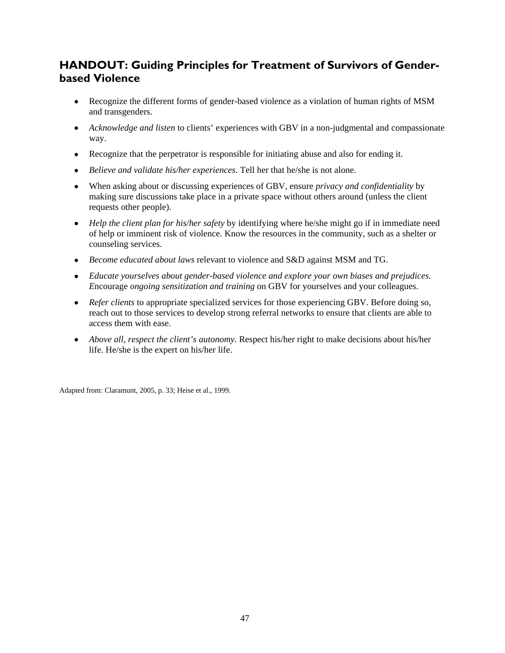# **HANDOUT: Guiding Principles for Treatment of Survivors of Genderbased Violence**

- Recognize the different forms of gender-based violence as a violation of human rights of MSM and transgenders.
- *Acknowledge and listen* to clients' experiences with GBV in a non-judgmental and compassionate way.
- Recognize that the perpetrator is responsible for initiating abuse and also for ending it.
- *Believe and validate his/her experiences*. Tell her that he/she is not alone.
- When asking about or discussing experiences of GBV, ensure *privacy and confidentiality* by making sure discussions take place in a private space without others around (unless the client requests other people).
- *Help the client plan for his/her safety* by identifying where he/she might go if in immediate need of help or imminent risk of violence. Know the resources in the community, such as a shelter or counseling services.
- *Become educated about laws* relevant to violence and S&D against MSM and TG.
- *Educate yourselves about gender-based violence and explore your own biases and prejudices. E*ncourage *ongoing sensitization and training* on GBV for yourselves and your colleagues.
- *Refer clients* to appropriate specialized services for those experiencing GBV. Before doing so, reach out to those services to develop strong referral networks to ensure that clients are able to access them with ease.
- *Above all, respect the client's autonomy.* Respect his/her right to make decisions about his/her life. He/she is the expert on his/her life.

Adapted from: Claramunt, 2005, p. 33; Heise et al., 1999.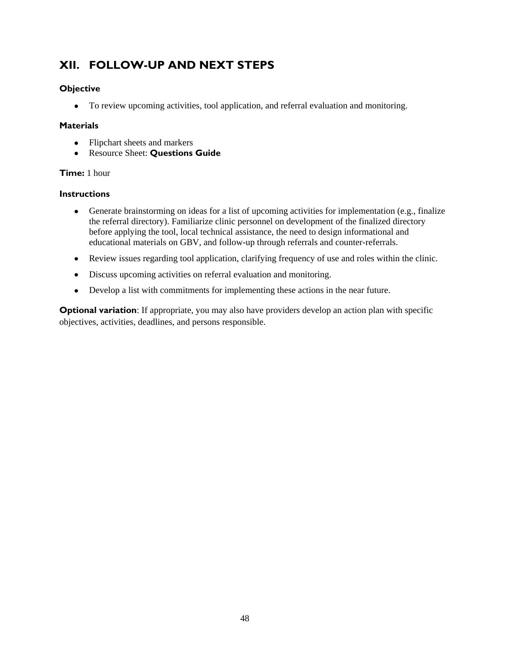# **XII. FOLLOW-UP AND NEXT STEPS**

### **Objective**

To review upcoming activities, tool application, and referral evaluation and monitoring.

### **Materials**

- Flipchart sheets and markers
- Resource Sheet: **Questions Guide**

### **Time:** 1 hour

### **Instructions**

- Generate brainstorming on ideas for a list of upcoming activities for implementation (e.g., finalize the referral directory). Familiarize clinic personnel on development of the finalized directory before applying the tool, local technical assistance, the need to design informational and educational materials on GBV, and follow-up through referrals and counter-referrals.
- Review issues regarding tool application, clarifying frequency of use and roles within the clinic.
- Discuss upcoming activities on referral evaluation and monitoring.
- Develop a list with commitments for implementing these actions in the near future.

**Optional variation**: If appropriate, you may also have providers develop an action plan with specific objectives, activities, deadlines, and persons responsible.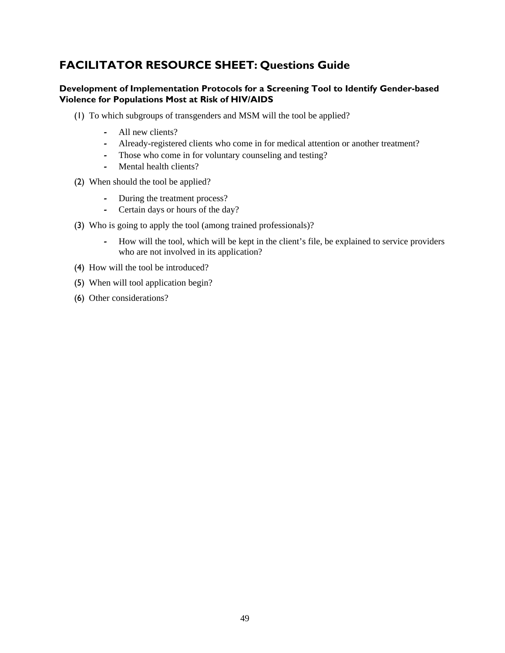# **FACILITATOR RESOURCE SHEET: Questions Guide**

### **Development of Implementation Protocols for a Screening Tool to Identify Gender-based Violence for Populations Most at Risk of HIV/AIDS**

- (1) To which subgroups of transgenders and MSM will the tool be applied?
	- **‐** All new clients?
	- **‐** Already-registered clients who come in for medical attention or another treatment?
	- **‐** Those who come in for voluntary counseling and testing?
	- **‐** Mental health clients?
- (2) When should the tool be applied?
	- **‐** During the treatment process?
	- **‐** Certain days or hours of the day?
- (3) Who is going to apply the tool (among trained professionals)?
	- **‐** How will the tool, which will be kept in the client's file, be explained to service providers who are not involved in its application?
- (4) How will the tool be introduced?
- (5) When will tool application begin?
- (6) Other considerations?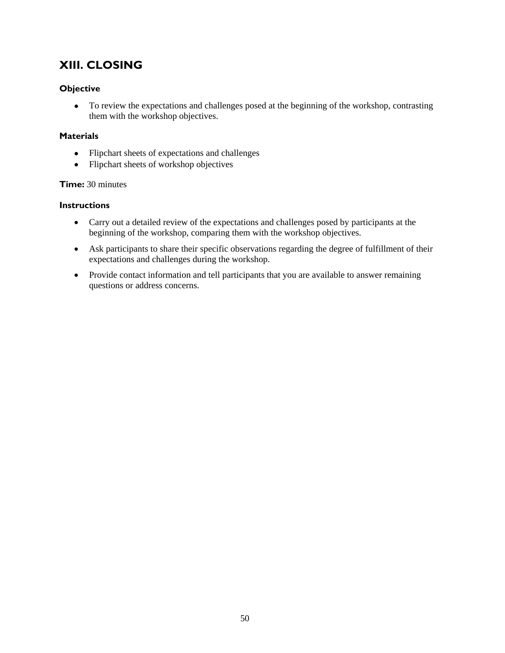# **XIII. CLOSING**

### **Objective**

• To review the expectations and challenges posed at the beginning of the workshop, contrasting them with the workshop objectives.

### **Materials**

- Flipchart sheets of expectations and challenges
- Flipchart sheets of workshop objectives

### **Time:** 30 minutes

### **Instructions**

- Carry out a detailed review of the expectations and challenges posed by participants at the beginning of the workshop, comparing them with the workshop objectives.
- Ask participants to share their specific observations regarding the degree of fulfillment of their expectations and challenges during the workshop.
- Provide contact information and tell participants that you are available to answer remaining questions or address concerns.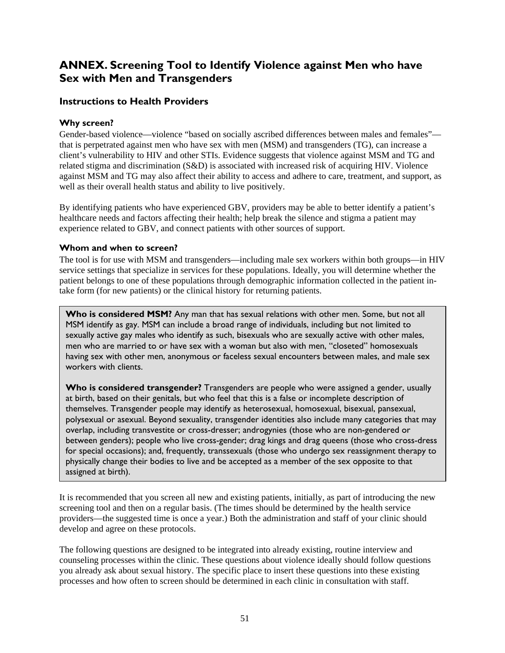### **ANNEX. Screening Tool to Identify Violence against Men who have Sex with Men and Transgenders**

### **Instructions to Health Providers**

### **Why screen?**

Gender-based violence—violence "based on socially ascribed differences between males and females" that is perpetrated against men who have sex with men (MSM) and transgenders (TG), can increase a client's vulnerability to HIV and other STIs. Evidence suggests that violence against MSM and TG and related stigma and discrimination (S&D) is associated with increased risk of acquiring HIV. Violence against MSM and TG may also affect their ability to access and adhere to care, treatment, and support, as well as their overall health status and ability to live positively.

By identifying patients who have experienced GBV, providers may be able to better identify a patient's healthcare needs and factors affecting their health; help break the silence and stigma a patient may experience related to GBV, and connect patients with other sources of support.

### **Whom and when to screen?**

The tool is for use with MSM and transgenders—including male sex workers within both groups—in HIV service settings that specialize in services for these populations. Ideally, you will determine whether the patient belongs to one of these populations through demographic information collected in the patient intake form (for new patients) or the clinical history for returning patients.

Who is considered MSM? Any man that has sexual relations with other men. Some, but not all MSM identify as gay. MSM can include a broad range of individuals, including but not limited to sexually active gay males who identify as such, bisexuals who are sexually active with other males, men who are married to or have sex with a woman but also with men, "closeted" homosexuals having sex with other men, anonymous or faceless sexual encounters between males, and male sex workers with clients.

**Who is considered transgender?** Transgenders are people who were assigned a gender, usually at birth, based on their genitals, but who feel that this is a false or incomplete description of themselves. Transgender people may identify as heterosexual, homosexual, bisexual, pansexual, polysexual or asexual. Beyond sexuality, transgender identities also include many categories that may overlap, including transvestite or cross-dresser; androgynies (those who are non-gendered or between genders); people who live cross-gender; drag kings and drag queens (those who cross-dress for special occasions); and, frequently, transsexuals (those who undergo sex reassignment therapy to physically change their bodies to live and be accepted as a member of the sex opposite to that assigned at birth).

It is recommended that you screen all new and existing patients, initially, as part of introducing the new screening tool and then on a regular basis. (The times should be determined by the health service providers—the suggested time is once a year.) Both the administration and staff of your clinic should develop and agree on these protocols.

The following questions are designed to be integrated into already existing, routine interview and counseling processes within the clinic. These questions about violence ideally should follow questions you already ask about sexual history. The specific place to insert these questions into these existing processes and how often to screen should be determined in each clinic in consultation with staff.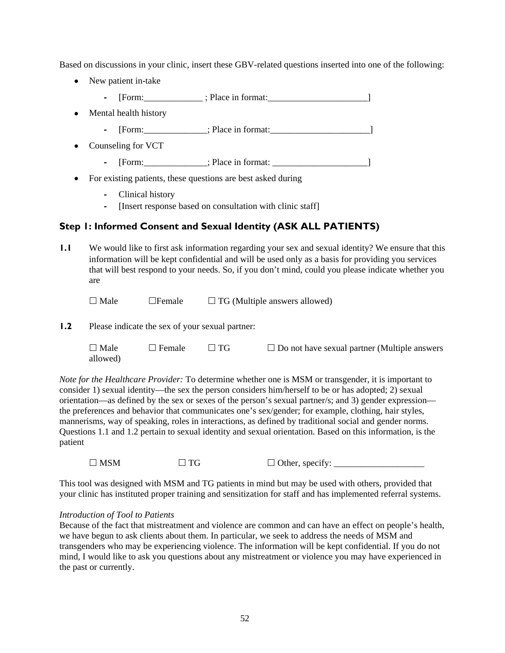Based on discussions in your clinic, insert these GBV-related questions inserted into one of the following:

- New patient in-take
	- **‐** [Form:\_\_\_\_\_\_\_\_\_\_\_\_\_ ; Place in format:\_\_\_\_\_\_\_\_\_\_\_\_\_\_\_\_\_\_\_\_\_\_]
- Mental health history
	- [Form:\_\_\_\_\_\_\_\_\_\_\_\_\_; Place in format:\_\_\_\_\_\_\_\_\_\_\_\_\_\_\_\_\_\_\_\_\_\_\_\_]
- Counseling for VCT
	- **‐** [Form:\_\_\_\_\_\_\_\_\_\_\_\_\_\_; Place in format: \_\_\_\_\_\_\_\_\_\_\_\_\_\_\_\_\_\_\_\_\_]
- For existing patients, these questions are best asked during
	- **‐** Clinical history
	- **‐** [Insert response based on consultation with clinic staff]

### **Step 1: Informed Consent and Sexual Identity (ASK ALL PATIENTS)**

**1.1** We would like to first ask information regarding your sex and sexual identity? We ensure that this information will be kept confidential and will be used only as a basis for providing you services that will best respond to your needs. So, if you don't mind, could you please indicate whether you are

 $\Box$  Male  $\Box$  Female  $\Box$  TG (Multiple answers allowed)

**1.2** Please indicate the sex of your sexual partner:

| $\Box$ Male | $\Box$ Female | $\Box$ TG | $\Box$ Do not have sexual partner (Multiple answers |
|-------------|---------------|-----------|-----------------------------------------------------|
| allowed)    |               |           |                                                     |

*Note for the Healthcare Provider:* To determine whether one is MSM or transgender, it is important to consider 1) sexual identity—the sex the person considers him/herself to be or has adopted; 2) sexual orientation—as defined by the sex or sexes of the person's sexual partner/s; and 3) gender expression the preferences and behavior that communicates one's sex/gender; for example, clothing, hair styles, mannerisms, way of speaking, roles in interactions, as defined by traditional social and gender norms. Questions 1.1 and 1.2 pertain to sexual identity and sexual orientation. Based on this information, is the patient

 $\Box$  MSM  $\Box$  TG  $\Box$  Other, specify:

This tool was designed with MSM and TG patients in mind but may be used with others, provided that your clinic has instituted proper training and sensitization for staff and has implemented referral systems.

### *Introduction of Tool to Patients*

Because of the fact that mistreatment and violence are common and can have an effect on people's health, we have begun to ask clients about them. In particular, we seek to address the needs of MSM and transgenders who may be experiencing violence. The information will be kept confidential. If you do not mind, I would like to ask you questions about any mistreatment or violence you may have experienced in the past or currently.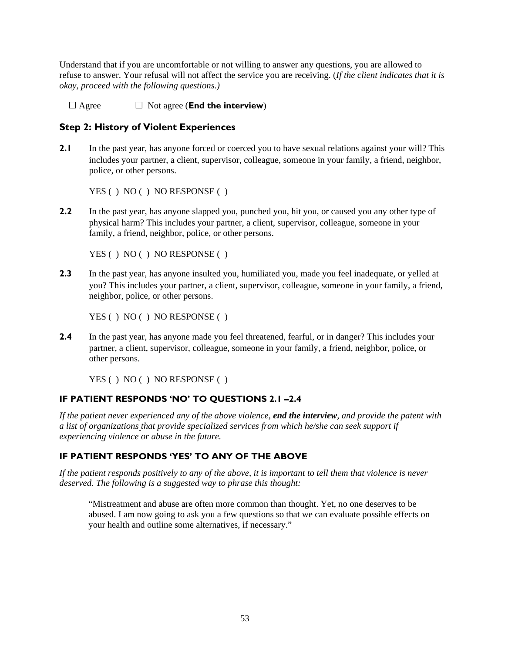Understand that if you are uncomfortable or not willing to answer any questions, you are allowed to refuse to answer. Your refusal will not affect the service you are receiving. (*If the client indicates that it is okay, proceed with the following questions.)*

 $\Box$  Agree  $\Box$  Not agree (**End the interview**)

### **Step 2: History of Violent Experiences**

**2.1** In the past year, has anyone forced or coerced you to have sexual relations against your will? This includes your partner, a client, supervisor, colleague, someone in your family, a friend, neighbor, police, or other persons.

YES ( ) NO ( ) NO RESPONSE ( )

**2.2** In the past year, has anyone slapped you, punched you, hit you, or caused you any other type of physical harm? This includes your partner, a client, supervisor, colleague, someone in your family, a friend, neighbor, police, or other persons.

YES ( ) NO ( ) NO RESPONSE ( )

**2.3** In the past year, has anyone insulted you, humiliated you, made you feel inadequate, or yelled at you? This includes your partner, a client, supervisor, colleague, someone in your family, a friend, neighbor, police, or other persons.

YES ( ) NO ( ) NO RESPONSE ( )

**2.4** In the past year, has anyone made you feel threatened, fearful, or in danger? This includes your partner, a client, supervisor, colleague, someone in your family, a friend, neighbor, police, or other persons.

YES ( ) NO ( ) NO RESPONSE ( )

### **IF PATIENT RESPONDS 'NO' TO QUESTIONS 2.1 –2.4**

*If the patient never experienced any of the above violence, end the interview, and provide the patent with a list of organizations that provide specialized services from which he/she can seek support if experiencing violence or abuse in the future.* 

### **IF PATIENT RESPONDS 'YES' TO ANY OF THE ABOVE**

*If the patient responds positively to any of the above, it is important to tell them that violence is never deserved. The following is a suggested way to phrase this thought:* 

"Mistreatment and abuse are often more common than thought. Yet, no one deserves to be abused. I am now going to ask you a few questions so that we can evaluate possible effects on your health and outline some alternatives, if necessary."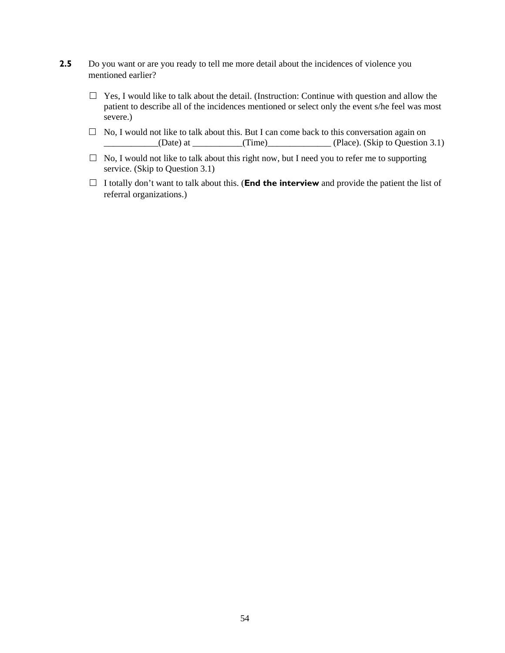- **2.5** Do you want or are you ready to tell me more detail about the incidences of violence you mentioned earlier?
	- $\Box$  Yes, I would like to talk about the detail. (Instruction: Continue with question and allow the patient to describe all of the incidences mentioned or select only the event s/he feel was most severe.)
	- $\Box$  No, I would not like to talk about this. But I can come back to this conversation again on  $_1$ (Date) at  $_2$  (Time) (Time) (Place). (Skip to Question 3.1)
	- $\Box$  No, I would not like to talk about this right now, but I need you to refer me to supporting service. (Skip to Question 3.1)
	- $\Box$  I totally don't want to talk about this. (**End the interview** and provide the patient the list of referral organizations.)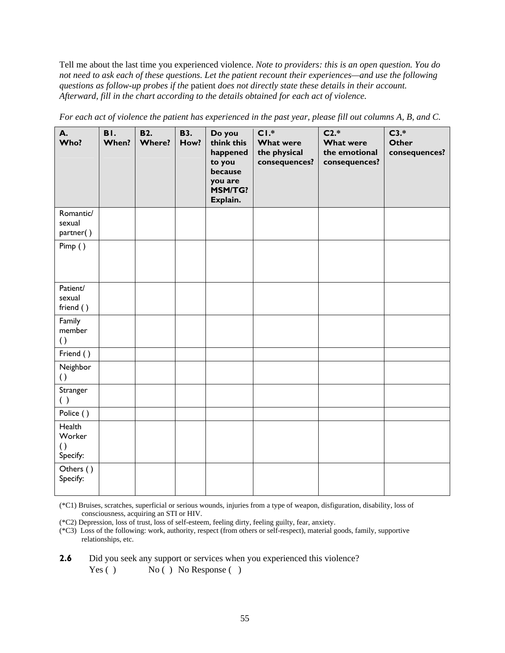Tell me about the last time you experienced violence. *Note to providers: this is an open question. You do not need to ask each of these questions. Let the patient recount their experiences—and use the following questions as follow-up probes if the* patient *does not directly state these details in their account. Afterward, fill in the chart according to the details obtained for each act of violence.* 

| А.<br>Who?                                       | BI.<br>When? | <b>B2.</b><br><b>Where?</b> | <b>B3.</b><br>How? | Do you<br>think this<br>happened<br>to you<br>because<br>you are<br><b>MSM/TG?</b><br>Explain. | $CI.*$<br><b>What were</b><br>the physical<br>consequences? | $C2.*$<br><b>What were</b><br>the emotional<br>consequences? | $C3.*$<br><b>Other</b><br>consequences? |
|--------------------------------------------------|--------------|-----------------------------|--------------------|------------------------------------------------------------------------------------------------|-------------------------------------------------------------|--------------------------------------------------------------|-----------------------------------------|
| Romantic/<br>sexual<br>partner()                 |              |                             |                    |                                                                                                |                                                             |                                                              |                                         |
| Pimp()                                           |              |                             |                    |                                                                                                |                                                             |                                                              |                                         |
| Patient/<br>sexual<br>friend ()                  |              |                             |                    |                                                                                                |                                                             |                                                              |                                         |
| Family<br>member<br>$\left( \right)$             |              |                             |                    |                                                                                                |                                                             |                                                              |                                         |
| Friend ()                                        |              |                             |                    |                                                                                                |                                                             |                                                              |                                         |
| Neighbor<br>$\left( \right)$                     |              |                             |                    |                                                                                                |                                                             |                                                              |                                         |
| Stranger<br>( )                                  |              |                             |                    |                                                                                                |                                                             |                                                              |                                         |
| Police ()                                        |              |                             |                    |                                                                                                |                                                             |                                                              |                                         |
| Health<br>Worker<br>$\left( \right)$<br>Specify: |              |                             |                    |                                                                                                |                                                             |                                                              |                                         |
| Others ()<br>Specify:                            |              |                             |                    |                                                                                                |                                                             |                                                              |                                         |

*For each act of violence the patient has experienced in the past year, please fill out columns A, B, and C.* 

(\*C1) Bruises, scratches, superficial or serious wounds, injuries from a type of weapon, disfiguration, disability, loss of consciousness, acquiring an STI or HIV.

(\*C2) Depression, loss of trust, loss of self-esteem, feeling dirty, feeling guilty, fear, anxiety.

(\*C3) Loss of the following: work, authority, respect (from others or self-respect), material goods, family, supportive relationships, etc.

**2.6** Did you seek any support or services when you experienced this violence? Yes ( ) No ( ) No Response ( )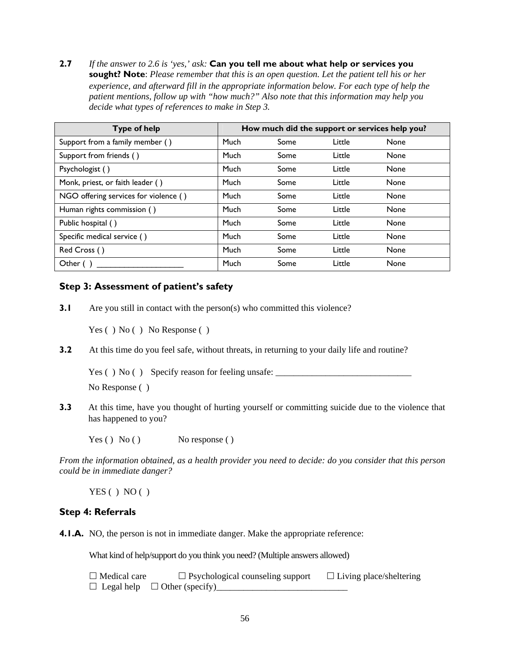**2.7** *If the answer to 2.6 is 'yes,' ask:* **Can you tell me about what help or services you sought? Note**: *Please remember that this is an open question. Let the patient tell his or her experience, and afterward fill in the appropriate information below. For each type of help the patient mentions, follow up with "how much?" Also note that this information may help you decide what types of references to make in Step 3.* 

| <b>Type of help</b>                   | How much did the support or services help you? |      |        |             |
|---------------------------------------|------------------------------------------------|------|--------|-------------|
| Support from a family member ()       | Much                                           | Some | Little | <b>None</b> |
| Support from friends ()               | Much                                           | Some | Little | <b>None</b> |
| Psychologist ()                       | Much                                           | Some | Little | <b>None</b> |
| Monk, priest, or faith leader ()      | Much                                           | Some | Little | None        |
| NGO offering services for violence () | Much                                           | Some | Little | None        |
| Human rights commission ()            | Much                                           | Some | Little | <b>None</b> |
| Public hospital ()                    | Much                                           | Some | Little | <b>None</b> |
| Specific medical service ()           | Much                                           | Some | Little | None        |
| Red Cross ()                          | Much                                           | Some | Little | <b>None</b> |
| Other $( )$                           | Much                                           | Some | Little | None        |

### **Step 3: Assessment of patient's safety**

**3.1** Are you still in contact with the person(s) who committed this violence?

Yes ( ) No ( ) No Response ( )

**3.2** At this time do you feel safe, without threats, in returning to your daily life and routine?

Yes () No () Specify reason for feeling unsafe: \_\_\_\_\_\_\_\_\_\_\_\_\_\_\_\_\_\_\_\_\_\_\_\_\_\_\_\_\_\_\_\_

No Response ( )

**3.3** At this time, have you thought of hurting yourself or committing suicide due to the violence that has happened to you?

 $Yes() No()$  No response ()

*From the information obtained, as a health provider you need to decide: do you consider that this person could be in immediate danger?* 

 $YES() NO()$ 

### **Step 4: Referrals**

**4.1.A.** NO, the person is not in immediate danger. Make the appropriate reference:

What kind of help/support do you think you need? (Multiple answers allowed)

 $\Box$  Medical care  $\Box$  Psychological counseling support  $\Box$  Living place/sheltering  $\Box$  Legal help  $\Box$  Other (specify)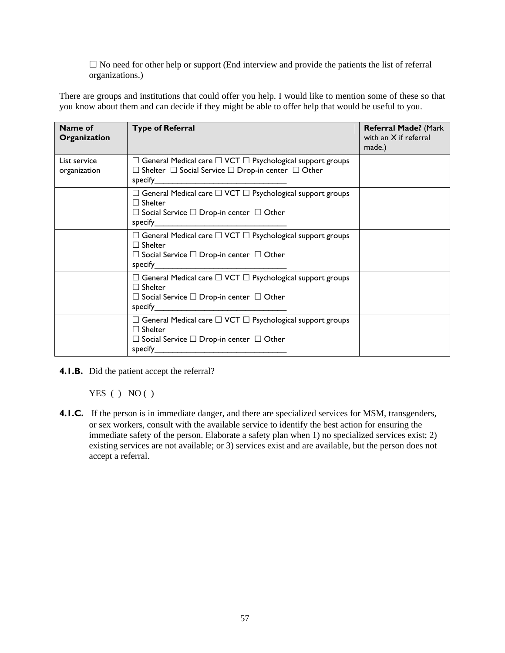$\square$  No need for other help or support (End interview and provide the patients the list of referral organizations.)

There are groups and institutions that could offer you help. I would like to mention some of these so that you know about them and can decide if they might be able to offer help that would be useful to you.

| Name of<br>Organization      | <b>Type of Referral</b>                                                                                                                                             | Referral Made? (Mark<br>with an $X$ if referral<br>made.) |
|------------------------------|---------------------------------------------------------------------------------------------------------------------------------------------------------------------|-----------------------------------------------------------|
| List service<br>organization | $\Box$ General Medical care $\Box$ VCT $\Box$ Psychological support groups<br>$\Box$ Shelter $\Box$ Social Service $\Box$ Drop-in center $\Box$ Other<br>specify    |                                                           |
|                              | $\Box$ General Medical care $\Box$ VCT $\Box$ Psychological support groups<br>$\Box$ Shelter<br>$\Box$ Social Service $\Box$ Drop-in center $\Box$ Other<br>specify |                                                           |
|                              | $\Box$ General Medical care $\Box$ VCT $\Box$ Psychological support groups<br>$\Box$ Shelter<br>$\Box$ Social Service $\Box$ Drop-in center $\Box$ Other<br>specify |                                                           |
|                              | $\Box$ General Medical care $\Box$ VCT $\Box$ Psychological support groups<br>$\Box$ Shelter<br>$\Box$ Social Service $\Box$ Drop-in center $\Box$ Other<br>specify |                                                           |
|                              | $\Box$ General Medical care $\Box$ VCT $\Box$ Psychological support groups<br>$\Box$ Shelter<br>$\Box$ Social Service $\Box$ Drop-in center $\Box$ Other<br>specify |                                                           |

**4.1.B.** Did the patient accept the referral?

YES ( ) NO ( )

**4.1.C.** If the person is in immediate danger, and there are specialized services for MSM, transgenders, or sex workers, consult with the available service to identify the best action for ensuring the immediate safety of the person. Elaborate a safety plan when 1) no specialized services exist; 2) existing services are not available; or 3) services exist and are available, but the person does not accept a referral.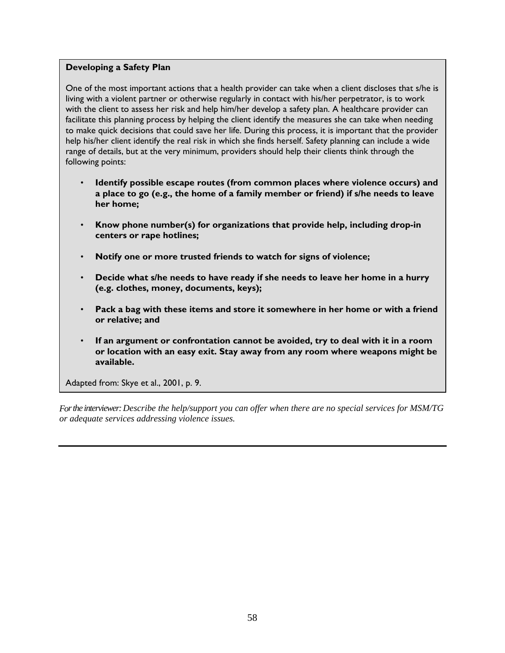### **Developing a Safety Plan**

One of the most important actions that a health provider can take when a client discloses that s/he is living with a violent partner or otherwise regularly in contact with his/her perpetrator, is to work with the client to assess her risk and help him/her develop a safety plan. A healthcare provider can facilitate this planning process by helping the client identify the measures she can take when needing to make quick decisions that could save her life. During this process, it is important that the provider help his/her client identify the real risk in which she finds herself. Safety planning can include a wide range of details, but at the very minimum, providers should help their clients think through the following points:

- **Identify possible escape routes (from common places where violence occurs) and a place to go (e.g., the home of a family member or friend) if s/he needs to leave her home;**
- **Know phone number(s) for organizations that provide help, including drop-in centers or rape hotlines;**
- **Notify one or more trusted friends to watch for signs of violence;**
- **Decide what s/he needs to have ready if she needs to leave her home in a hurry (e.g. clothes, money, documents, keys);**
- **Pack a bag with these items and store it somewhere in her home or with a friend or relative; and**
- **If an argument or confrontation cannot be avoided, try to deal with it in a room or location with an easy exit. Stay away from any room where weapons might be available.**

Adapted from: Skye et al., 2001, p. 9.

*For the interviewer: Describe the help/support you can offer when there are no special services for MSM/TG or adequate services addressing violence issues.*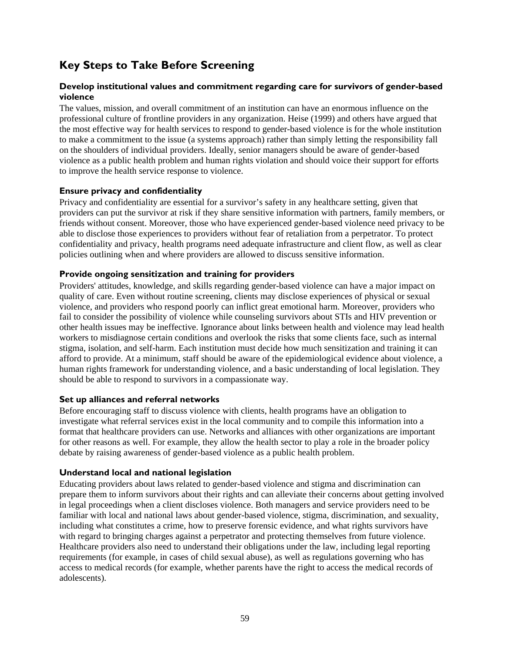# **Key Steps to Take Before Screening**

### **Develop institutional values and commitment regarding care for survivors of gender-based violence**

The values, mission, and overall commitment of an institution can have an enormous influence on the professional culture of frontline providers in any organization. Heise (1999) and others have argued that the most effective way for health services to respond to gender-based violence is for the whole institution to make a commitment to the issue (a systems approach) rather than simply letting the responsibility fall on the shoulders of individual providers. Ideally, senior managers should be aware of gender-based violence as a public health problem and human rights violation and should voice their support for efforts to improve the health service response to violence.

### **Ensure privacy and confidentiality**

Privacy and confidentiality are essential for a survivor's safety in any healthcare setting, given that providers can put the survivor at risk if they share sensitive information with partners, family members, or friends without consent. Moreover, those who have experienced gender-based violence need privacy to be able to disclose those experiences to providers without fear of retaliation from a perpetrator. To protect confidentiality and privacy, health programs need adequate infrastructure and client flow, as well as clear policies outlining when and where providers are allowed to discuss sensitive information.

### **Provide ongoing sensitization and training for providers**

Providers' attitudes, knowledge, and skills regarding gender-based violence can have a major impact on quality of care. Even without routine screening, clients may disclose experiences of physical or sexual violence, and providers who respond poorly can inflict great emotional harm. Moreover, providers who fail to consider the possibility of violence while counseling survivors about STIs and HIV prevention or other health issues may be ineffective. Ignorance about links between health and violence may lead health workers to misdiagnose certain conditions and overlook the risks that some clients face, such as internal stigma, isolation, and self-harm. Each institution must decide how much sensitization and training it can afford to provide. At a minimum, staff should be aware of the epidemiological evidence about violence, a human rights framework for understanding violence, and a basic understanding of local legislation. They should be able to respond to survivors in a compassionate way.

### **Set up alliances and referral networks**

Before encouraging staff to discuss violence with clients, health programs have an obligation to investigate what referral services exist in the local community and to compile this information into a format that healthcare providers can use. Networks and alliances with other organizations are important for other reasons as well. For example, they allow the health sector to play a role in the broader policy debate by raising awareness of gender-based violence as a public health problem.

### **Understand local and national legislation**

Educating providers about laws related to gender-based violence and stigma and discrimination can prepare them to inform survivors about their rights and can alleviate their concerns about getting involved in legal proceedings when a client discloses violence. Both managers and service providers need to be familiar with local and national laws about gender-based violence, stigma, discrimination, and sexuality, including what constitutes a crime, how to preserve forensic evidence, and what rights survivors have with regard to bringing charges against a perpetrator and protecting themselves from future violence. Healthcare providers also need to understand their obligations under the law, including legal reporting requirements (for example, in cases of child sexual abuse), as well as regulations governing who has access to medical records (for example, whether parents have the right to access the medical records of adolescents).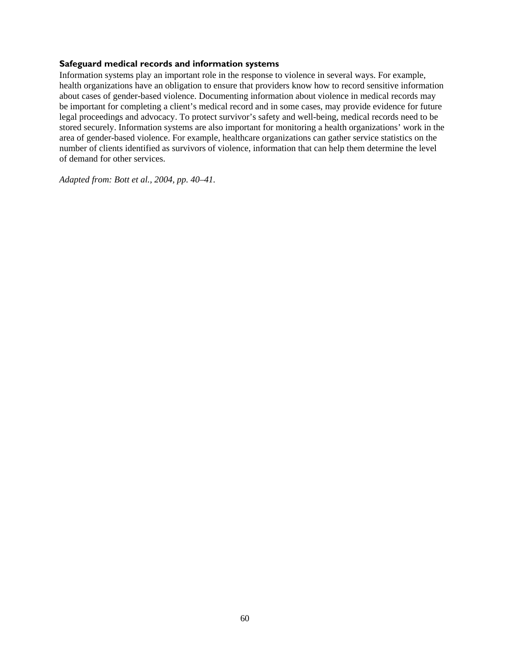### **Safeguard medical records and information systems**

Information systems play an important role in the response to violence in several ways. For example, health organizations have an obligation to ensure that providers know how to record sensitive information about cases of gender-based violence. Documenting information about violence in medical records may be important for completing a client's medical record and in some cases, may provide evidence for future legal proceedings and advocacy. To protect survivor's safety and well-being, medical records need to be stored securely. Information systems are also important for monitoring a health organizations' work in the area of gender-based violence. For example, healthcare organizations can gather service statistics on the number of clients identified as survivors of violence, information that can help them determine the level of demand for other services.

*Adapted from: Bott et al., 2004, pp. 40–41.*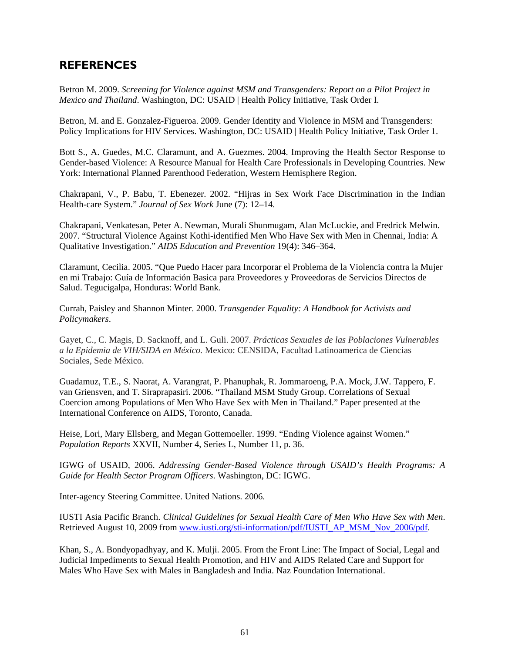## **REFERENCES**

Betron M. 2009. *Screening for Violence against MSM and Transgenders: Report on a Pilot Project in Mexico and Thailand*. Washington, DC: USAID | Health Policy Initiative, Task Order I.

Betron, M. and E. Gonzalez-Figueroa. 2009. Gender Identity and Violence in MSM and Transgenders: Policy Implications for HIV Services. Washington, DC: USAID | Health Policy Initiative, Task Order 1.

Bott S., A. Guedes, M.C. Claramunt, and A. Guezmes. 2004. Improving the Health Sector Response to Gender-based Violence: A Resource Manual for Health Care Professionals in Developing Countries. New York: International Planned Parenthood Federation, Western Hemisphere Region.

Chakrapani, V., P. Babu, T. Ebenezer. 2002. "Hijras in Sex Work Face Discrimination in the Indian Health-care System." *Journal of Sex Work* June (7): 12–14.

Chakrapani, Venkatesan, Peter A. Newman, Murali Shunmugam, Alan McLuckie, and Fredrick Melwin. 2007. "Structural Violence Against Kothi-identified Men Who Have Sex with Men in Chennai, India: A Qualitative Investigation." *AIDS Education and Prevention* 19(4): 346–364.

Claramunt, Cecilia. 2005. "Que Puedo Hacer para Incorporar el Problema de la Violencia contra la Mujer en mi Trabajo: Guía de Información Basica para Proveedores y Proveedoras de Servicios Directos de Salud. Tegucigalpa, Honduras: World Bank.

Currah, Paisley and Shannon Minter. 2000. *Transgender Equality: A Handbook for Activists and Policymakers*.

Gayet, C., C. Magis, D. Sacknoff, and L. Guli. 2007. *Prácticas Sexuales de las Poblaciones Vulnerables a la Epidemia de VIH/SIDA en México.* Mexico: CENSIDA, Facultad Latinoamerica de Ciencias Sociales, Sede México.

Guadamuz, T.E., S. Naorat, A. Varangrat, P. Phanuphak, R. Jommaroeng, P.A. Mock, J.W. Tappero, F. van Griensven, and T. Siraprapasiri. 2006. "Thailand MSM Study Group. Correlations of Sexual Coercion among Populations of Men Who Have Sex with Men in Thailand." Paper presented at the International Conference on AIDS, Toronto, Canada.

Heise, Lori, Mary Ellsberg, and Megan Gottemoeller. 1999. "Ending Violence against Women." *Population Reports* XXVII, Number 4, Series L, Number 11, p. 36.

IGWG of USAID, 2006. *Addressing Gender-Based Violence through USAID's Health Programs: A Guide for Health Sector Program Officers*. Washington, DC: IGWG.

Inter-agency Steering Committee. United Nations. 2006.

IUSTI Asia Pacific Branch. *Clinical Guidelines for Sexual Health Care of Men Who Have Sex with Men*. Retrieved August 10, 2009 from [www.iusti.org/sti-information/pdf/IUSTI\\_AP\\_MSM\\_Nov\\_2006/pdf.](http://www.iusti.org/sti-information/pdf/IUSTI_AP_MSM_Nov_2006/pdf)

Khan, S., A. Bondyopadhyay, and K. Mulji. 2005. [From the Front Line:](http://www.nfi.net/NFI%20Publications/Reports/From%20the%20fount%20line%20-%20Final.pdf) The Impact of Social, Legal and Judicial Impediments to Sexual Health Promotion, and HIV and AIDS Related Care and Support for Males Who Have Sex with Males in Bangladesh and India. Naz Foundation International.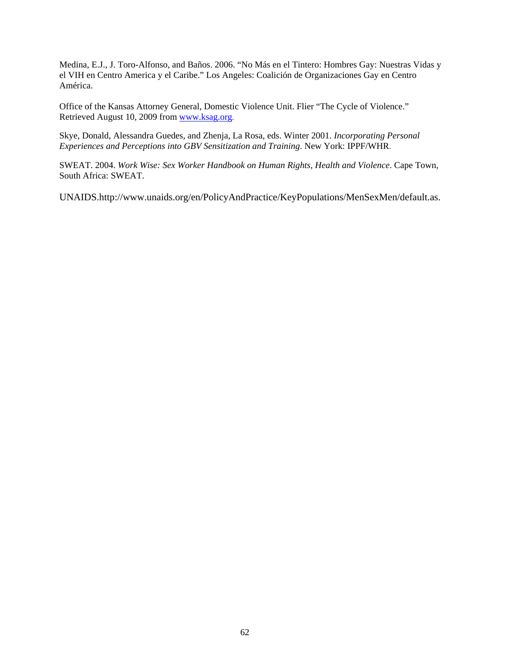Medina, E.J., J. Toro-Alfonso, and Baños. 2006. "No Más en el Tintero: Hombres Gay: Nuestras Vidas y el VIH en Centro America y el Caribe." Los Angeles: Coalición de Organizaciones Gay en Centro América.

Office of the Kansas Attorney General, Domestic Violence Unit. Flier "The Cycle of Violence." Retrieved August 10, 2009 from [www.ksag.org.](http://www.ksag.org/)

Skye, Donald, Alessandra Guedes, and Zhenja, La Rosa, eds. Winter 2001. *Incorporating Personal Experiences and Perceptions into GBV Sensitization and Training*. New York: IPPF/WHR.

SWEAT. 2004. *Work Wise: Sex Worker Handbook on Human Rights, Health and Violence*. Cape Town, South Africa: SWEAT.

UNAIDS.http://www.unaids.org/en/PolicyAndPractice/KeyPopulations/MenSexMen/default.as.